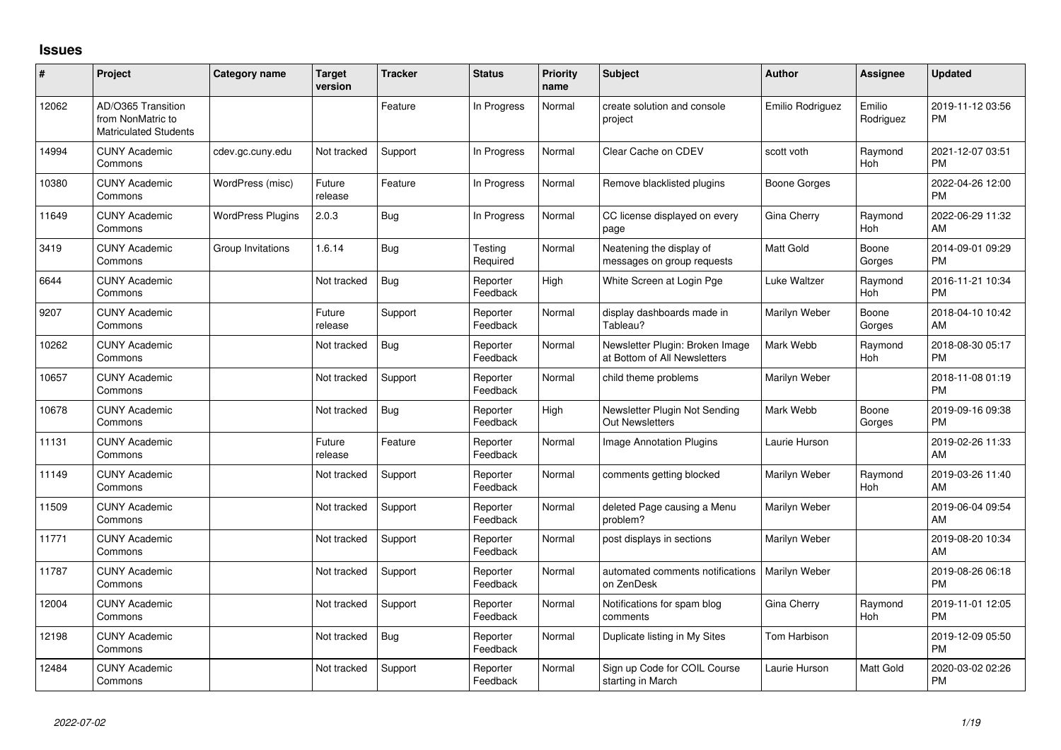## **Issues**

| #     | Project                                                                 | Category name            | <b>Target</b><br>version | <b>Tracker</b> | <b>Status</b>        | <b>Priority</b><br>name | <b>Subject</b>                                                  | <b>Author</b>    | <b>Assignee</b>       | <b>Updated</b>                |
|-------|-------------------------------------------------------------------------|--------------------------|--------------------------|----------------|----------------------|-------------------------|-----------------------------------------------------------------|------------------|-----------------------|-------------------------------|
| 12062 | AD/O365 Transition<br>from NonMatric to<br><b>Matriculated Students</b> |                          |                          | Feature        | In Progress          | Normal                  | create solution and console<br>project                          | Emilio Rodriguez | Emilio<br>Rodriguez   | 2019-11-12 03:56<br><b>PM</b> |
| 14994 | <b>CUNY Academic</b><br>Commons                                         | cdev.gc.cuny.edu         | Not tracked              | Support        | In Progress          | Normal                  | Clear Cache on CDEV                                             | scott voth       | Raymond<br>Hoh        | 2021-12-07 03:51<br><b>PM</b> |
| 10380 | <b>CUNY Academic</b><br>Commons                                         | WordPress (misc)         | Future<br>release        | Feature        | In Progress          | Normal                  | Remove blacklisted plugins                                      | Boone Gorges     |                       | 2022-04-26 12:00<br><b>PM</b> |
| 11649 | <b>CUNY Academic</b><br>Commons                                         | <b>WordPress Plugins</b> | 2.0.3                    | Bug            | In Progress          | Normal                  | CC license displayed on every<br>page                           | Gina Cherry      | Raymond<br><b>Hoh</b> | 2022-06-29 11:32<br>AM        |
| 3419  | <b>CUNY Academic</b><br>Commons                                         | Group Invitations        | 1.6.14                   | Bug            | Testing<br>Required  | Normal                  | Neatening the display of<br>messages on group requests          | <b>Matt Gold</b> | Boone<br>Gorges       | 2014-09-01 09:29<br><b>PM</b> |
| 6644  | <b>CUNY Academic</b><br>Commons                                         |                          | Not tracked              | Bug            | Reporter<br>Feedback | High                    | White Screen at Login Pge                                       | Luke Waltzer     | Raymond<br>Hoh        | 2016-11-21 10:34<br><b>PM</b> |
| 9207  | <b>CUNY Academic</b><br>Commons                                         |                          | Future<br>release        | Support        | Reporter<br>Feedback | Normal                  | display dashboards made in<br>Tableau?                          | Marilyn Weber    | Boone<br>Gorges       | 2018-04-10 10:42<br>AM        |
| 10262 | <b>CUNY Academic</b><br>Commons                                         |                          | Not tracked              | <b>Bug</b>     | Reporter<br>Feedback | Normal                  | Newsletter Plugin: Broken Image<br>at Bottom of All Newsletters | Mark Webb        | Raymond<br>Hoh        | 2018-08-30 05:17<br><b>PM</b> |
| 10657 | <b>CUNY Academic</b><br>Commons                                         |                          | Not tracked              | Support        | Reporter<br>Feedback | Normal                  | child theme problems                                            | Marilyn Weber    |                       | 2018-11-08 01:19<br><b>PM</b> |
| 10678 | <b>CUNY Academic</b><br>Commons                                         |                          | Not tracked              | Bug            | Reporter<br>Feedback | High                    | Newsletter Plugin Not Sending<br>Out Newsletters                | Mark Webb        | Boone<br>Gorges       | 2019-09-16 09:38<br><b>PM</b> |
| 11131 | <b>CUNY Academic</b><br>Commons                                         |                          | Future<br>release        | Feature        | Reporter<br>Feedback | Normal                  | Image Annotation Plugins                                        | Laurie Hurson    |                       | 2019-02-26 11:33<br>AM        |
| 11149 | <b>CUNY Academic</b><br>Commons                                         |                          | Not tracked              | Support        | Reporter<br>Feedback | Normal                  | comments getting blocked                                        | Marilyn Weber    | Raymond<br>Hoh        | 2019-03-26 11:40<br>AM        |
| 11509 | <b>CUNY Academic</b><br>Commons                                         |                          | Not tracked              | Support        | Reporter<br>Feedback | Normal                  | deleted Page causing a Menu<br>problem?                         | Marilyn Weber    |                       | 2019-06-04 09:54<br>AM        |
| 11771 | <b>CUNY Academic</b><br>Commons                                         |                          | Not tracked              | Support        | Reporter<br>Feedback | Normal                  | post displays in sections                                       | Marilyn Weber    |                       | 2019-08-20 10:34<br>AM        |
| 11787 | <b>CUNY Academic</b><br>Commons                                         |                          | Not tracked              | Support        | Reporter<br>Feedback | Normal                  | automated comments notifications<br>on ZenDesk                  | Marilyn Weber    |                       | 2019-08-26 06:18<br><b>PM</b> |
| 12004 | <b>CUNY Academic</b><br>Commons                                         |                          | Not tracked              | Support        | Reporter<br>Feedback | Normal                  | Notifications for spam blog<br>comments                         | Gina Cherry      | Raymond<br>Hoh        | 2019-11-01 12:05<br><b>PM</b> |
| 12198 | <b>CUNY Academic</b><br>Commons                                         |                          | Not tracked              | Bug            | Reporter<br>Feedback | Normal                  | Duplicate listing in My Sites                                   | Tom Harbison     |                       | 2019-12-09 05:50<br><b>PM</b> |
| 12484 | <b>CUNY Academic</b><br>Commons                                         |                          | Not tracked              | Support        | Reporter<br>Feedback | Normal                  | Sign up Code for COIL Course<br>starting in March               | Laurie Hurson    | Matt Gold             | 2020-03-02 02:26<br><b>PM</b> |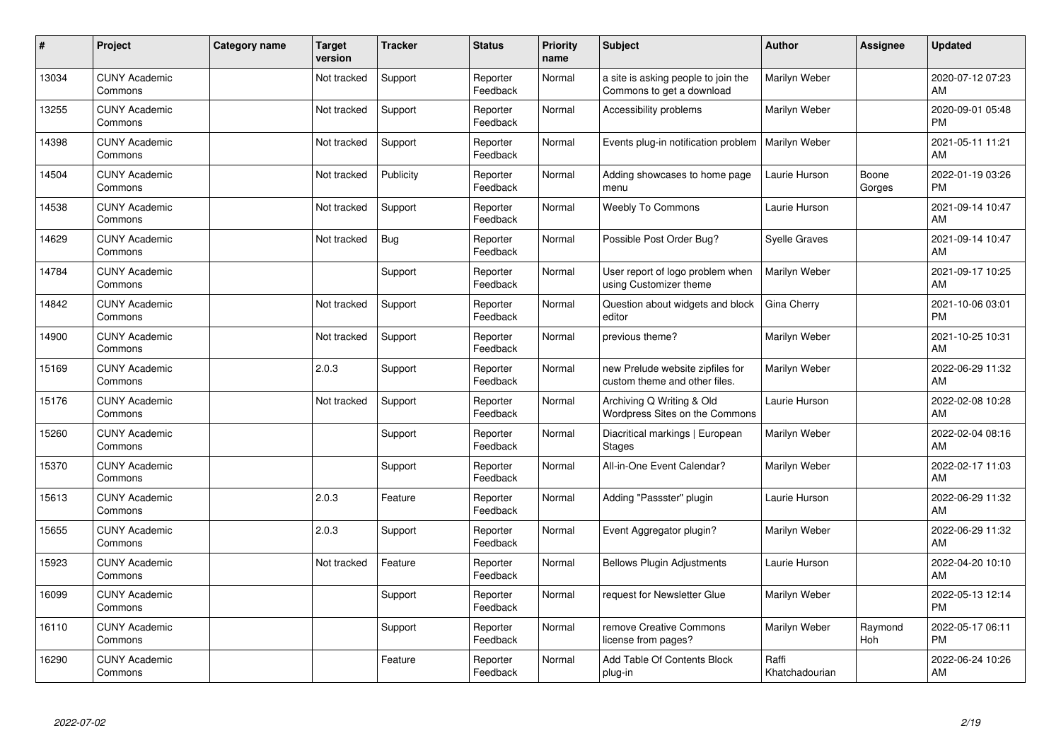| #     | Project                         | <b>Category name</b> | <b>Target</b><br>version | <b>Tracker</b> | <b>Status</b>        | <b>Priority</b><br>name | <b>Subject</b>                                                    | <b>Author</b>           | <b>Assignee</b> | <b>Updated</b>                |
|-------|---------------------------------|----------------------|--------------------------|----------------|----------------------|-------------------------|-------------------------------------------------------------------|-------------------------|-----------------|-------------------------------|
| 13034 | <b>CUNY Academic</b><br>Commons |                      | Not tracked              | Support        | Reporter<br>Feedback | Normal                  | a site is asking people to join the<br>Commons to get a download  | Marilyn Weber           |                 | 2020-07-12 07:23<br>AM        |
| 13255 | <b>CUNY Academic</b><br>Commons |                      | Not tracked              | Support        | Reporter<br>Feedback | Normal                  | Accessibility problems                                            | Marilyn Weber           |                 | 2020-09-01 05:48<br><b>PM</b> |
| 14398 | <b>CUNY Academic</b><br>Commons |                      | Not tracked              | Support        | Reporter<br>Feedback | Normal                  | Events plug-in notification problem                               | Marilyn Weber           |                 | 2021-05-11 11:21<br>AM        |
| 14504 | <b>CUNY Academic</b><br>Commons |                      | Not tracked              | Publicity      | Reporter<br>Feedback | Normal                  | Adding showcases to home page<br>menu                             | Laurie Hurson           | Boone<br>Gorges | 2022-01-19 03:26<br><b>PM</b> |
| 14538 | <b>CUNY Academic</b><br>Commons |                      | Not tracked              | Support        | Reporter<br>Feedback | Normal                  | <b>Weebly To Commons</b>                                          | Laurie Hurson           |                 | 2021-09-14 10:47<br>AM        |
| 14629 | <b>CUNY Academic</b><br>Commons |                      | Not tracked              | Bug            | Reporter<br>Feedback | Normal                  | Possible Post Order Bug?                                          | <b>Syelle Graves</b>    |                 | 2021-09-14 10:47<br>AM        |
| 14784 | <b>CUNY Academic</b><br>Commons |                      |                          | Support        | Reporter<br>Feedback | Normal                  | User report of logo problem when<br>using Customizer theme        | Marilyn Weber           |                 | 2021-09-17 10:25<br>AM        |
| 14842 | <b>CUNY Academic</b><br>Commons |                      | Not tracked              | Support        | Reporter<br>Feedback | Normal                  | Question about widgets and block<br>editor                        | Gina Cherry             |                 | 2021-10-06 03:01<br><b>PM</b> |
| 14900 | <b>CUNY Academic</b><br>Commons |                      | Not tracked              | Support        | Reporter<br>Feedback | Normal                  | previous theme?                                                   | Marilyn Weber           |                 | 2021-10-25 10:31<br>AM        |
| 15169 | <b>CUNY Academic</b><br>Commons |                      | 2.0.3                    | Support        | Reporter<br>Feedback | Normal                  | new Prelude website zipfiles for<br>custom theme and other files. | Marilyn Weber           |                 | 2022-06-29 11:32<br>AM        |
| 15176 | <b>CUNY Academic</b><br>Commons |                      | Not tracked              | Support        | Reporter<br>Feedback | Normal                  | Archiving Q Writing & Old<br>Wordpress Sites on the Commons       | Laurie Hurson           |                 | 2022-02-08 10:28<br>AM        |
| 15260 | <b>CUNY Academic</b><br>Commons |                      |                          | Support        | Reporter<br>Feedback | Normal                  | Diacritical markings   European<br><b>Stages</b>                  | Marilyn Weber           |                 | 2022-02-04 08:16<br>AM        |
| 15370 | <b>CUNY Academic</b><br>Commons |                      |                          | Support        | Reporter<br>Feedback | Normal                  | All-in-One Event Calendar?                                        | Marilyn Weber           |                 | 2022-02-17 11:03<br>AM        |
| 15613 | <b>CUNY Academic</b><br>Commons |                      | 2.0.3                    | Feature        | Reporter<br>Feedback | Normal                  | Adding "Passster" plugin                                          | Laurie Hurson           |                 | 2022-06-29 11:32<br>AM        |
| 15655 | <b>CUNY Academic</b><br>Commons |                      | 2.0.3                    | Support        | Reporter<br>Feedback | Normal                  | Event Aggregator plugin?                                          | Marilyn Weber           |                 | 2022-06-29 11:32<br>AM        |
| 15923 | <b>CUNY Academic</b><br>Commons |                      | Not tracked              | Feature        | Reporter<br>Feedback | Normal                  | <b>Bellows Plugin Adjustments</b>                                 | Laurie Hurson           |                 | 2022-04-20 10:10<br>AM        |
| 16099 | <b>CUNY Academic</b><br>Commons |                      |                          | Support        | Reporter<br>Feedback | Normal                  | request for Newsletter Glue                                       | Marilyn Weber           |                 | 2022-05-13 12:14<br><b>PM</b> |
| 16110 | <b>CUNY Academic</b><br>Commons |                      |                          | Support        | Reporter<br>Feedback | Normal                  | remove Creative Commons<br>license from pages?                    | Marilyn Weber           | Raymond<br>Hoh  | 2022-05-17 06:11<br><b>PM</b> |
| 16290 | <b>CUNY Academic</b><br>Commons |                      |                          | Feature        | Reporter<br>Feedback | Normal                  | Add Table Of Contents Block<br>plug-in                            | Raffi<br>Khatchadourian |                 | 2022-06-24 10:26<br>AM        |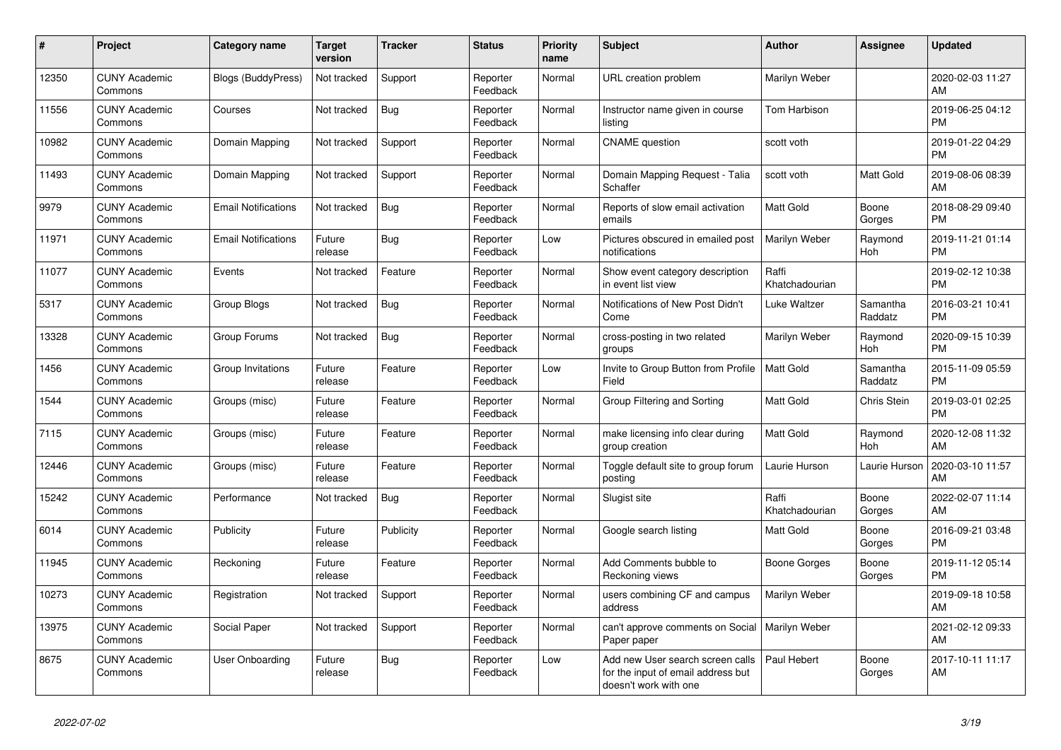| #     | Project                         | <b>Category name</b>       | Target<br>version | <b>Tracker</b> | <b>Status</b>        | <b>Priority</b><br>name | <b>Subject</b>                                                                                  | <b>Author</b>           | Assignee            | <b>Updated</b>                |
|-------|---------------------------------|----------------------------|-------------------|----------------|----------------------|-------------------------|-------------------------------------------------------------------------------------------------|-------------------------|---------------------|-------------------------------|
| 12350 | <b>CUNY Academic</b><br>Commons | Blogs (BuddyPress)         | Not tracked       | Support        | Reporter<br>Feedback | Normal                  | URL creation problem                                                                            | Marilyn Weber           |                     | 2020-02-03 11:27<br>AM        |
| 11556 | <b>CUNY Academic</b><br>Commons | Courses                    | Not tracked       | Bug            | Reporter<br>Feedback | Normal                  | Instructor name given in course<br>listing                                                      | Tom Harbison            |                     | 2019-06-25 04:12<br><b>PM</b> |
| 10982 | <b>CUNY Academic</b><br>Commons | Domain Mapping             | Not tracked       | Support        | Reporter<br>Feedback | Normal                  | <b>CNAME</b> question                                                                           | scott voth              |                     | 2019-01-22 04:29<br><b>PM</b> |
| 11493 | <b>CUNY Academic</b><br>Commons | Domain Mapping             | Not tracked       | Support        | Reporter<br>Feedback | Normal                  | Domain Mapping Request - Talia<br>Schaffer                                                      | scott voth              | <b>Matt Gold</b>    | 2019-08-06 08:39<br>AM        |
| 9979  | <b>CUNY Academic</b><br>Commons | <b>Email Notifications</b> | Not tracked       | Bug            | Reporter<br>Feedback | Normal                  | Reports of slow email activation<br>emails                                                      | <b>Matt Gold</b>        | Boone<br>Gorges     | 2018-08-29 09:40<br><b>PM</b> |
| 11971 | <b>CUNY Academic</b><br>Commons | <b>Email Notifications</b> | Future<br>release | <b>Bug</b>     | Reporter<br>Feedback | Low                     | Pictures obscured in emailed post<br>notifications                                              | <b>Marilyn Weber</b>    | Raymond<br>Hoh      | 2019-11-21 01:14<br><b>PM</b> |
| 11077 | <b>CUNY Academic</b><br>Commons | Events                     | Not tracked       | Feature        | Reporter<br>Feedback | Normal                  | Show event category description<br>in event list view                                           | Raffi<br>Khatchadourian |                     | 2019-02-12 10:38<br><b>PM</b> |
| 5317  | <b>CUNY Academic</b><br>Commons | Group Blogs                | Not tracked       | Bug            | Reporter<br>Feedback | Normal                  | Notifications of New Post Didn't<br>Come                                                        | Luke Waltzer            | Samantha<br>Raddatz | 2016-03-21 10:41<br><b>PM</b> |
| 13328 | <b>CUNY Academic</b><br>Commons | Group Forums               | Not tracked       | <b>Bug</b>     | Reporter<br>Feedback | Normal                  | cross-posting in two related<br>groups                                                          | Marilyn Weber           | Raymond<br>Hoh      | 2020-09-15 10:39<br><b>PM</b> |
| 1456  | <b>CUNY Academic</b><br>Commons | Group Invitations          | Future<br>release | Feature        | Reporter<br>Feedback | Low                     | Invite to Group Button from Profile<br>Field                                                    | <b>Matt Gold</b>        | Samantha<br>Raddatz | 2015-11-09 05:59<br><b>PM</b> |
| 1544  | <b>CUNY Academic</b><br>Commons | Groups (misc)              | Future<br>release | Feature        | Reporter<br>Feedback | Normal                  | Group Filtering and Sorting                                                                     | Matt Gold               | Chris Stein         | 2019-03-01 02:25<br><b>PM</b> |
| 7115  | <b>CUNY Academic</b><br>Commons | Groups (misc)              | Future<br>release | Feature        | Reporter<br>Feedback | Normal                  | make licensing info clear during<br>group creation                                              | <b>Matt Gold</b>        | Raymond<br>Hoh      | 2020-12-08 11:32<br>AM        |
| 12446 | <b>CUNY Academic</b><br>Commons | Groups (misc)              | Future<br>release | Feature        | Reporter<br>Feedback | Normal                  | Toggle default site to group forum<br>posting                                                   | Laurie Hurson           | Laurie Hurson       | 2020-03-10 11:57<br>AM        |
| 15242 | <b>CUNY Academic</b><br>Commons | Performance                | Not tracked       | Bug            | Reporter<br>Feedback | Normal                  | Slugist site                                                                                    | Raffi<br>Khatchadourian | Boone<br>Gorges     | 2022-02-07 11:14<br>AM        |
| 6014  | <b>CUNY Academic</b><br>Commons | Publicity                  | Future<br>release | Publicity      | Reporter<br>Feedback | Normal                  | Google search listing                                                                           | <b>Matt Gold</b>        | Boone<br>Gorges     | 2016-09-21 03:48<br><b>PM</b> |
| 11945 | <b>CUNY Academic</b><br>Commons | Reckoning                  | Future<br>release | Feature        | Reporter<br>Feedback | Normal                  | Add Comments bubble to<br>Reckoning views                                                       | <b>Boone Gorges</b>     | Boone<br>Gorges     | 2019-11-12 05:14<br><b>PM</b> |
| 10273 | <b>CUNY Academic</b><br>Commons | Registration               | Not tracked       | Support        | Reporter<br>Feedback | Normal                  | users combining CF and campus<br>address                                                        | Marilyn Weber           |                     | 2019-09-18 10:58<br>AM        |
| 13975 | <b>CUNY Academic</b><br>Commons | Social Paper               | Not tracked       | Support        | Reporter<br>Feedback | Normal                  | can't approve comments on Social<br>Paper paper                                                 | Marilyn Weber           |                     | 2021-02-12 09:33<br>AM        |
| 8675  | <b>CUNY Academic</b><br>Commons | <b>User Onboarding</b>     | Future<br>release | <b>Bug</b>     | Reporter<br>Feedback | Low                     | Add new User search screen calls<br>for the input of email address but<br>doesn't work with one | Paul Hebert             | Boone<br>Gorges     | 2017-10-11 11:17<br>AM        |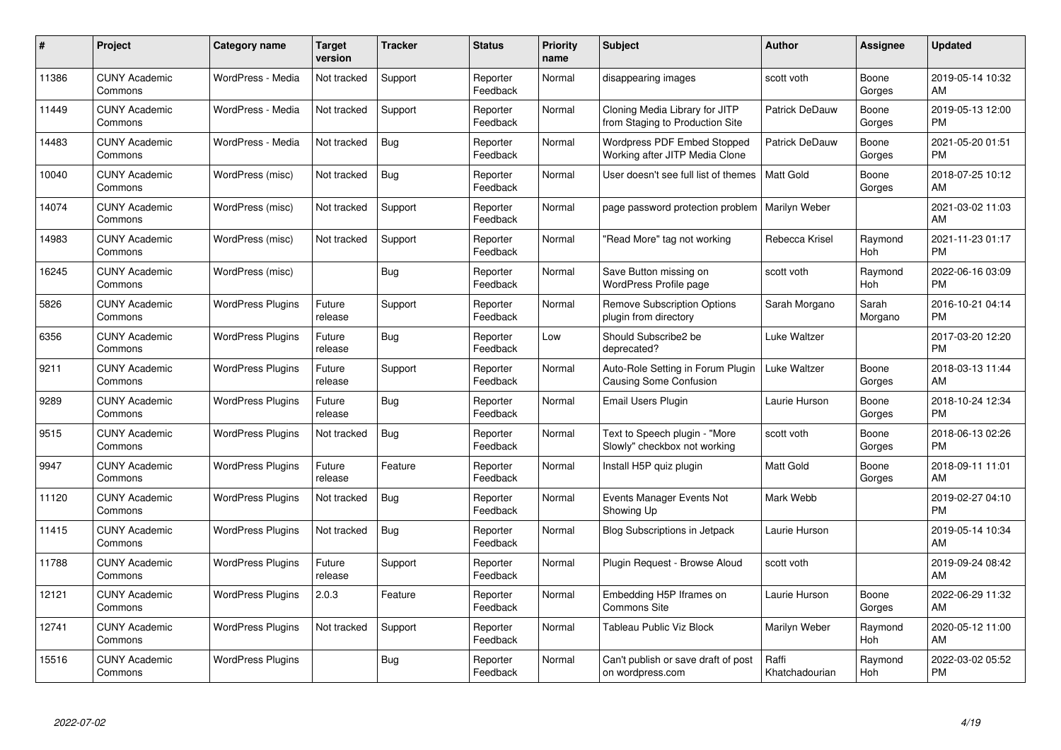| #     | Project                         | Category name            | <b>Target</b><br>version | <b>Tracker</b> | <b>Status</b>        | Priority<br>name | <b>Subject</b>                                                       | <b>Author</b>           | <b>Assignee</b>  | <b>Updated</b>                |
|-------|---------------------------------|--------------------------|--------------------------|----------------|----------------------|------------------|----------------------------------------------------------------------|-------------------------|------------------|-------------------------------|
| 11386 | <b>CUNY Academic</b><br>Commons | WordPress - Media        | Not tracked              | Support        | Reporter<br>Feedback | Normal           | disappearing images                                                  | scott voth              | Boone<br>Gorges  | 2019-05-14 10:32<br>AM        |
| 11449 | <b>CUNY Academic</b><br>Commons | WordPress - Media        | Not tracked              | Support        | Reporter<br>Feedback | Normal           | Cloning Media Library for JITP<br>from Staging to Production Site    | <b>Patrick DeDauw</b>   | Boone<br>Gorges  | 2019-05-13 12:00<br><b>PM</b> |
| 14483 | <b>CUNY Academic</b><br>Commons | WordPress - Media        | Not tracked              | Bug            | Reporter<br>Feedback | Normal           | <b>Wordpress PDF Embed Stopped</b><br>Working after JITP Media Clone | Patrick DeDauw          | Boone<br>Gorges  | 2021-05-20 01:51<br><b>PM</b> |
| 10040 | <b>CUNY Academic</b><br>Commons | WordPress (misc)         | Not tracked              | Bug            | Reporter<br>Feedback | Normal           | User doesn't see full list of themes                                 | <b>Matt Gold</b>        | Boone<br>Gorges  | 2018-07-25 10:12<br>AM        |
| 14074 | <b>CUNY Academic</b><br>Commons | WordPress (misc)         | Not tracked              | Support        | Reporter<br>Feedback | Normal           | page password protection problem                                     | Marilyn Weber           |                  | 2021-03-02 11:03<br>AM        |
| 14983 | <b>CUNY Academic</b><br>Commons | WordPress (misc)         | Not tracked              | Support        | Reporter<br>Feedback | Normal           | "Read More" tag not working                                          | Rebecca Krisel          | Raymond<br>Hoh   | 2021-11-23 01:17<br><b>PM</b> |
| 16245 | <b>CUNY Academic</b><br>Commons | WordPress (misc)         |                          | Bug            | Reporter<br>Feedback | Normal           | Save Button missing on<br><b>WordPress Profile page</b>              | scott voth              | Raymond<br>Hoh   | 2022-06-16 03:09<br><b>PM</b> |
| 5826  | <b>CUNY Academic</b><br>Commons | <b>WordPress Plugins</b> | Future<br>release        | Support        | Reporter<br>Feedback | Normal           | <b>Remove Subscription Options</b><br>plugin from directory          | Sarah Morgano           | Sarah<br>Morgano | 2016-10-21 04:14<br><b>PM</b> |
| 6356  | <b>CUNY Academic</b><br>Commons | <b>WordPress Plugins</b> | Future<br>release        | Bug            | Reporter<br>Feedback | Low              | Should Subscribe2 be<br>deprecated?                                  | Luke Waltzer            |                  | 2017-03-20 12:20<br><b>PM</b> |
| 9211  | <b>CUNY Academic</b><br>Commons | <b>WordPress Plugins</b> | Future<br>release        | Support        | Reporter<br>Feedback | Normal           | Auto-Role Setting in Forum Plugin<br>Causing Some Confusion          | Luke Waltzer            | Boone<br>Gorges  | 2018-03-13 11:44<br>AM        |
| 9289  | <b>CUNY Academic</b><br>Commons | <b>WordPress Plugins</b> | Future<br>release        | <b>Bug</b>     | Reporter<br>Feedback | Normal           | Email Users Plugin                                                   | Laurie Hurson           | Boone<br>Gorges  | 2018-10-24 12:34<br><b>PM</b> |
| 9515  | <b>CUNY Academic</b><br>Commons | <b>WordPress Plugins</b> | Not tracked              | Bug            | Reporter<br>Feedback | Normal           | Text to Speech plugin - "More<br>Slowly" checkbox not working        | scott voth              | Boone<br>Gorges  | 2018-06-13 02:26<br><b>PM</b> |
| 9947  | <b>CUNY Academic</b><br>Commons | <b>WordPress Plugins</b> | Future<br>release        | Feature        | Reporter<br>Feedback | Normal           | Install H5P quiz plugin                                              | Matt Gold               | Boone<br>Gorges  | 2018-09-11 11:01<br>AM        |
| 11120 | <b>CUNY Academic</b><br>Commons | <b>WordPress Plugins</b> | Not tracked              | Bug            | Reporter<br>Feedback | Normal           | Events Manager Events Not<br>Showing Up                              | Mark Webb               |                  | 2019-02-27 04:10<br><b>PM</b> |
| 11415 | <b>CUNY Academic</b><br>Commons | <b>WordPress Plugins</b> | Not tracked              | Bug            | Reporter<br>Feedback | Normal           | <b>Blog Subscriptions in Jetpack</b>                                 | Laurie Hurson           |                  | 2019-05-14 10:34<br>AM        |
| 11788 | <b>CUNY Academic</b><br>Commons | <b>WordPress Plugins</b> | Future<br>release        | Support        | Reporter<br>Feedback | Normal           | Plugin Request - Browse Aloud                                        | scott voth              |                  | 2019-09-24 08:42<br>AM        |
| 12121 | <b>CUNY Academic</b><br>Commons | <b>WordPress Plugins</b> | 2.0.3                    | Feature        | Reporter<br>Feedback | Normal           | Embedding H5P Iframes on<br><b>Commons Site</b>                      | Laurie Hurson           | Boone<br>Gorges  | 2022-06-29 11:32<br>AM        |
| 12741 | <b>CUNY Academic</b><br>Commons | <b>WordPress Plugins</b> | Not tracked              | Support        | Reporter<br>Feedback | Normal           | Tableau Public Viz Block                                             | Marilyn Weber           | Raymond<br>Hoh   | 2020-05-12 11:00<br>AM        |
| 15516 | <b>CUNY Academic</b><br>Commons | <b>WordPress Plugins</b> |                          | <b>Bug</b>     | Reporter<br>Feedback | Normal           | Can't publish or save draft of post<br>on wordpress.com              | Raffi<br>Khatchadourian | Raymond<br>Hoh   | 2022-03-02 05:52<br><b>PM</b> |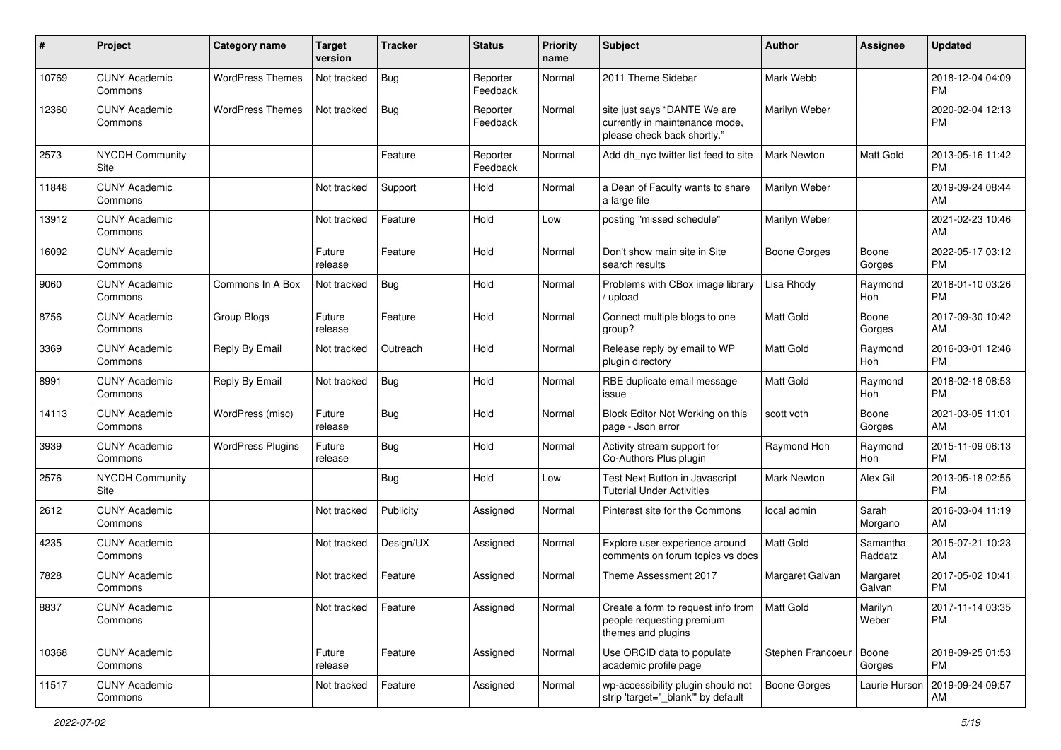| #     | Project                         | <b>Category name</b>     | <b>Target</b><br>version | Tracker    | <b>Status</b>        | Priority<br>name | <b>Subject</b>                                                                                | <b>Author</b>       | <b>Assignee</b>     | <b>Updated</b>                |
|-------|---------------------------------|--------------------------|--------------------------|------------|----------------------|------------------|-----------------------------------------------------------------------------------------------|---------------------|---------------------|-------------------------------|
| 10769 | <b>CUNY Academic</b><br>Commons | <b>WordPress Themes</b>  | Not tracked              | <b>Bug</b> | Reporter<br>Feedback | Normal           | 2011 Theme Sidebar                                                                            | Mark Webb           |                     | 2018-12-04 04:09<br><b>PM</b> |
| 12360 | <b>CUNY Academic</b><br>Commons | <b>WordPress Themes</b>  | Not tracked              | Bug        | Reporter<br>Feedback | Normal           | site just says "DANTE We are<br>currently in maintenance mode,<br>please check back shortly." | Marilyn Weber       |                     | 2020-02-04 12:13<br><b>PM</b> |
| 2573  | <b>NYCDH Community</b><br>Site  |                          |                          | Feature    | Reporter<br>Feedback | Normal           | Add dh nyc twitter list feed to site                                                          | <b>Mark Newton</b>  | Matt Gold           | 2013-05-16 11:42<br><b>PM</b> |
| 11848 | <b>CUNY Academic</b><br>Commons |                          | Not tracked              | Support    | Hold                 | Normal           | a Dean of Faculty wants to share<br>a large file                                              | Marilyn Weber       |                     | 2019-09-24 08:44<br>AM        |
| 13912 | <b>CUNY Academic</b><br>Commons |                          | Not tracked              | Feature    | Hold                 | Low              | posting "missed schedule"                                                                     | Marilyn Weber       |                     | 2021-02-23 10:46<br>AM        |
| 16092 | <b>CUNY Academic</b><br>Commons |                          | Future<br>release        | Feature    | Hold                 | Normal           | Don't show main site in Site<br>search results                                                | <b>Boone Gorges</b> | Boone<br>Gorges     | 2022-05-17 03:12<br><b>PM</b> |
| 9060  | <b>CUNY Academic</b><br>Commons | Commons In A Box         | Not tracked              | Bug        | Hold                 | Normal           | Problems with CBox image library<br>/ upload                                                  | Lisa Rhody          | Raymond<br>Hoh      | 2018-01-10 03:26<br><b>PM</b> |
| 8756  | <b>CUNY Academic</b><br>Commons | Group Blogs              | Future<br>release        | Feature    | Hold                 | Normal           | Connect multiple blogs to one<br>group?                                                       | Matt Gold           | Boone<br>Gorges     | 2017-09-30 10:42<br>AM        |
| 3369  | <b>CUNY Academic</b><br>Commons | Reply By Email           | Not tracked              | Outreach   | Hold                 | Normal           | Release reply by email to WP<br>plugin directory                                              | <b>Matt Gold</b>    | Raymond<br>Hoh      | 2016-03-01 12:46<br><b>PM</b> |
| 8991  | <b>CUNY Academic</b><br>Commons | Reply By Email           | Not tracked              | <b>Bug</b> | Hold                 | Normal           | RBE duplicate email message<br>issue                                                          | <b>Matt Gold</b>    | Raymond<br>Hoh      | 2018-02-18 08:53<br><b>PM</b> |
| 14113 | <b>CUNY Academic</b><br>Commons | WordPress (misc)         | Future<br>release        | <b>Bug</b> | Hold                 | Normal           | Block Editor Not Working on this<br>page - Json error                                         | scott voth          | Boone<br>Gorges     | 2021-03-05 11:01<br>AM        |
| 3939  | <b>CUNY Academic</b><br>Commons | <b>WordPress Plugins</b> | Future<br>release        | Bug        | Hold                 | Normal           | Activity stream support for<br>Co-Authors Plus plugin                                         | Raymond Hoh         | Raymond<br>Hoh      | 2015-11-09 06:13<br><b>PM</b> |
| 2576  | <b>NYCDH Community</b><br>Site  |                          |                          | <b>Bug</b> | Hold                 | Low              | Test Next Button in Javascript<br><b>Tutorial Under Activities</b>                            | <b>Mark Newton</b>  | Alex Gil            | 2013-05-18 02:55<br><b>PM</b> |
| 2612  | <b>CUNY Academic</b><br>Commons |                          | Not tracked              | Publicity  | Assigned             | Normal           | Pinterest site for the Commons                                                                | local admin         | Sarah<br>Morgano    | 2016-03-04 11:19<br>AM        |
| 4235  | <b>CUNY Academic</b><br>Commons |                          | Not tracked              | Design/UX  | Assigned             | Normal           | Explore user experience around<br>comments on forum topics vs docs                            | Matt Gold           | Samantha<br>Raddatz | 2015-07-21 10:23<br>AM        |
| 7828  | <b>CUNY Academic</b><br>Commons |                          | Not tracked              | Feature    | Assigned             | Normal           | Theme Assessment 2017                                                                         | Margaret Galvan     | Margaret<br>Galvan  | 2017-05-02 10:41<br><b>PM</b> |
| 8837  | <b>CUNY Academic</b><br>Commons |                          | Not tracked              | Feature    | Assigned             | Normal           | Create a form to request info from<br>people requesting premium<br>themes and plugins         | Matt Gold           | Marilyn<br>Weber    | 2017-11-14 03:35<br><b>PM</b> |
| 10368 | <b>CUNY Academic</b><br>Commons |                          | Future<br>release        | Feature    | Assigned             | Normal           | Use ORCID data to populate<br>academic profile page                                           | Stephen Francoeur   | Boone<br>Gorges     | 2018-09-25 01:53<br><b>PM</b> |
| 11517 | <b>CUNY Academic</b><br>Commons |                          | Not tracked              | Feature    | Assigned             | Normal           | wp-accessibility plugin should not<br>strip 'target="_blank"' by default                      | Boone Gorges        | Laurie Hurson       | 2019-09-24 09:57<br>AM        |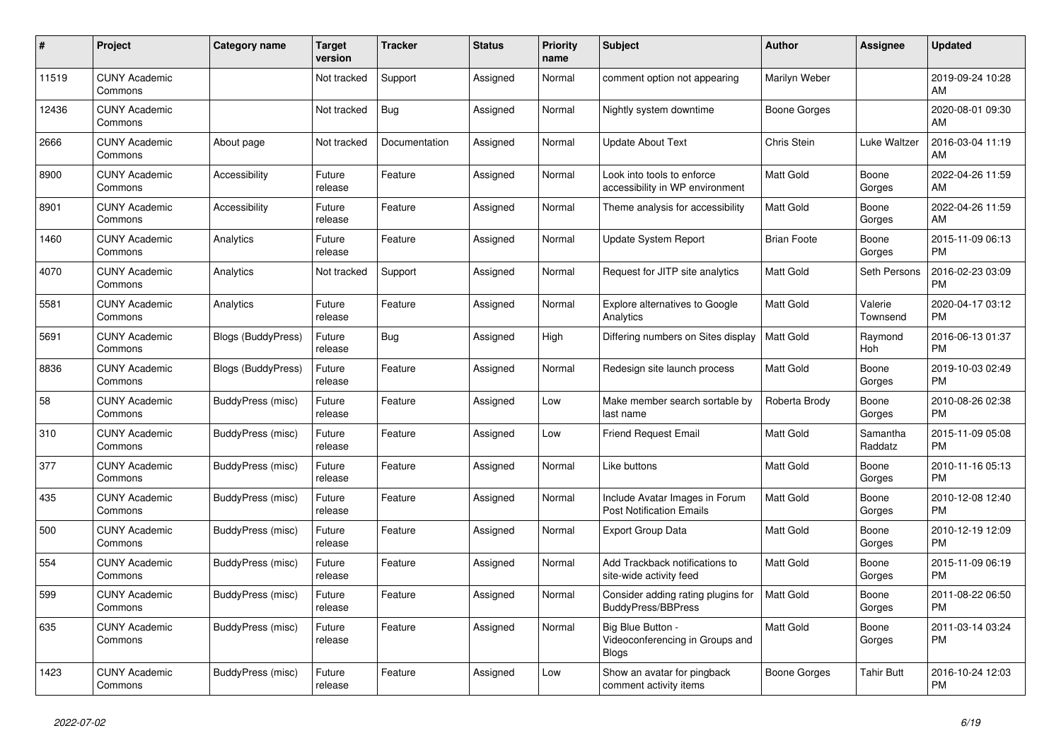| $\#$  | Project                         | <b>Category name</b>      | Target<br>version | <b>Tracker</b> | <b>Status</b> | Priority<br>name | <b>Subject</b>                                                       | <b>Author</b>      | <b>Assignee</b>     | <b>Updated</b>                |
|-------|---------------------------------|---------------------------|-------------------|----------------|---------------|------------------|----------------------------------------------------------------------|--------------------|---------------------|-------------------------------|
| 11519 | <b>CUNY Academic</b><br>Commons |                           | Not tracked       | Support        | Assigned      | Normal           | comment option not appearing                                         | Marilyn Weber      |                     | 2019-09-24 10:28<br>AM        |
| 12436 | <b>CUNY Academic</b><br>Commons |                           | Not tracked       | Bug            | Assigned      | Normal           | Nightly system downtime                                              | Boone Gorges       |                     | 2020-08-01 09:30<br>AM        |
| 2666  | <b>CUNY Academic</b><br>Commons | About page                | Not tracked       | Documentation  | Assigned      | Normal           | <b>Update About Text</b>                                             | Chris Stein        | Luke Waltzer        | 2016-03-04 11:19<br>AM        |
| 8900  | <b>CUNY Academic</b><br>Commons | Accessibility             | Future<br>release | Feature        | Assigned      | Normal           | Look into tools to enforce<br>accessibility in WP environment        | Matt Gold          | Boone<br>Gorges     | 2022-04-26 11:59<br>AM        |
| 8901  | <b>CUNY Academic</b><br>Commons | Accessibility             | Future<br>release | Feature        | Assigned      | Normal           | Theme analysis for accessibility                                     | Matt Gold          | Boone<br>Gorges     | 2022-04-26 11:59<br>AM        |
| 1460  | <b>CUNY Academic</b><br>Commons | Analytics                 | Future<br>release | Feature        | Assigned      | Normal           | Update System Report                                                 | <b>Brian Foote</b> | Boone<br>Gorges     | 2015-11-09 06:13<br><b>PM</b> |
| 4070  | <b>CUNY Academic</b><br>Commons | Analytics                 | Not tracked       | Support        | Assigned      | Normal           | Request for JITP site analytics                                      | <b>Matt Gold</b>   | Seth Persons        | 2016-02-23 03:09<br><b>PM</b> |
| 5581  | <b>CUNY Academic</b><br>Commons | Analytics                 | Future<br>release | Feature        | Assigned      | Normal           | <b>Explore alternatives to Google</b><br>Analytics                   | Matt Gold          | Valerie<br>Townsend | 2020-04-17 03:12<br><b>PM</b> |
| 5691  | <b>CUNY Academic</b><br>Commons | <b>Blogs (BuddyPress)</b> | Future<br>release | Bug            | Assigned      | High             | Differing numbers on Sites display                                   | <b>Matt Gold</b>   | Raymond<br>Hoh      | 2016-06-13 01:37<br><b>PM</b> |
| 8836  | <b>CUNY Academic</b><br>Commons | <b>Blogs (BuddyPress)</b> | Future<br>release | Feature        | Assigned      | Normal           | Redesign site launch process                                         | Matt Gold          | Boone<br>Gorges     | 2019-10-03 02:49<br><b>PM</b> |
| 58    | <b>CUNY Academic</b><br>Commons | BuddyPress (misc)         | Future<br>release | Feature        | Assigned      | Low              | Make member search sortable by<br>last name                          | Roberta Brody      | Boone<br>Gorges     | 2010-08-26 02:38<br><b>PM</b> |
| 310   | <b>CUNY Academic</b><br>Commons | BuddyPress (misc)         | Future<br>release | Feature        | Assigned      | Low              | <b>Friend Request Email</b>                                          | Matt Gold          | Samantha<br>Raddatz | 2015-11-09 05:08<br><b>PM</b> |
| 377   | <b>CUNY Academic</b><br>Commons | BuddyPress (misc)         | Future<br>release | Feature        | Assigned      | Normal           | Like buttons                                                         | <b>Matt Gold</b>   | Boone<br>Gorges     | 2010-11-16 05:13<br><b>PM</b> |
| 435   | <b>CUNY Academic</b><br>Commons | BuddyPress (misc)         | Future<br>release | Feature        | Assigned      | Normal           | Include Avatar Images in Forum<br><b>Post Notification Emails</b>    | <b>Matt Gold</b>   | Boone<br>Gorges     | 2010-12-08 12:40<br><b>PM</b> |
| 500   | <b>CUNY Academic</b><br>Commons | BuddyPress (misc)         | Future<br>release | Feature        | Assigned      | Normal           | <b>Export Group Data</b>                                             | Matt Gold          | Boone<br>Gorges     | 2010-12-19 12:09<br><b>PM</b> |
| 554   | <b>CUNY Academic</b><br>Commons | BuddyPress (misc)         | Future<br>release | Feature        | Assigned      | Normal           | Add Trackback notifications to<br>site-wide activity feed            | Matt Gold          | Boone<br>Gorges     | 2015-11-09 06:19<br><b>PM</b> |
| 599   | <b>CUNY Academic</b><br>Commons | BuddyPress (misc)         | Future<br>release | Feature        | Assigned      | Normal           | Consider adding rating plugins for<br><b>BuddyPress/BBPress</b>      | <b>Matt Gold</b>   | Boone<br>Gorges     | 2011-08-22 06:50<br><b>PM</b> |
| 635   | <b>CUNY Academic</b><br>Commons | BuddyPress (misc)         | Future<br>release | Feature        | Assigned      | Normal           | Big Blue Button -<br>Videoconferencing in Groups and<br><b>Blogs</b> | <b>Matt Gold</b>   | Boone<br>Gorges     | 2011-03-14 03:24<br><b>PM</b> |
| 1423  | <b>CUNY Academic</b><br>Commons | BuddyPress (misc)         | Future<br>release | Feature        | Assigned      | Low              | Show an avatar for pingback<br>comment activity items                | Boone Gorges       | Tahir Butt          | 2016-10-24 12:03<br><b>PM</b> |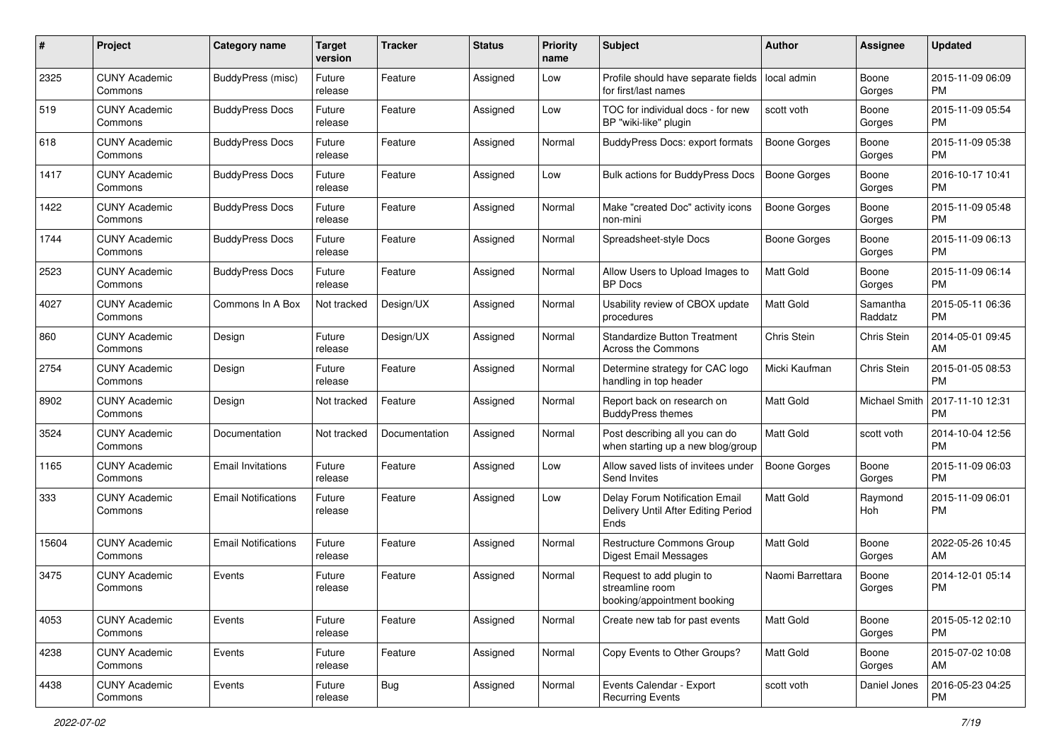| #     | Project                         | <b>Category name</b>       | <b>Target</b><br>version | <b>Tracker</b> | <b>Status</b> | <b>Priority</b><br>name | Subject                                                                       | <b>Author</b>       | <b>Assignee</b>      | <b>Updated</b>                |
|-------|---------------------------------|----------------------------|--------------------------|----------------|---------------|-------------------------|-------------------------------------------------------------------------------|---------------------|----------------------|-------------------------------|
| 2325  | <b>CUNY Academic</b><br>Commons | <b>BuddyPress (misc)</b>   | Future<br>release        | Feature        | Assigned      | Low                     | Profile should have separate fields<br>for first/last names                   | local admin         | Boone<br>Gorges      | 2015-11-09 06:09<br><b>PM</b> |
| 519   | <b>CUNY Academic</b><br>Commons | <b>BuddyPress Docs</b>     | Future<br>release        | Feature        | Assigned      | Low                     | TOC for individual docs - for new<br>BP "wiki-like" plugin                    | scott voth          | Boone<br>Gorges      | 2015-11-09 05:54<br><b>PM</b> |
| 618   | <b>CUNY Academic</b><br>Commons | <b>BuddyPress Docs</b>     | Future<br>release        | Feature        | Assigned      | Normal                  | BuddyPress Docs: export formats                                               | <b>Boone Gorges</b> | Boone<br>Gorges      | 2015-11-09 05:38<br><b>PM</b> |
| 1417  | <b>CUNY Academic</b><br>Commons | <b>BuddyPress Docs</b>     | Future<br>release        | Feature        | Assigned      | Low                     | Bulk actions for BuddyPress Docs                                              | <b>Boone Gorges</b> | Boone<br>Gorges      | 2016-10-17 10:41<br>PM.       |
| 1422  | <b>CUNY Academic</b><br>Commons | <b>BuddyPress Docs</b>     | Future<br>release        | Feature        | Assigned      | Normal                  | Make "created Doc" activity icons<br>non-mini                                 | Boone Gorges        | Boone<br>Gorges      | 2015-11-09 05:48<br><b>PM</b> |
| 1744  | <b>CUNY Academic</b><br>Commons | <b>BuddyPress Docs</b>     | Future<br>release        | Feature        | Assigned      | Normal                  | Spreadsheet-style Docs                                                        | Boone Gorges        | Boone<br>Gorges      | 2015-11-09 06:13<br><b>PM</b> |
| 2523  | <b>CUNY Academic</b><br>Commons | <b>BuddyPress Docs</b>     | Future<br>release        | Feature        | Assigned      | Normal                  | Allow Users to Upload Images to<br><b>BP</b> Docs                             | Matt Gold           | Boone<br>Gorges      | 2015-11-09 06:14<br>PM.       |
| 4027  | <b>CUNY Academic</b><br>Commons | Commons In A Box           | Not tracked              | Design/UX      | Assigned      | Normal                  | Usability review of CBOX update<br>procedures                                 | <b>Matt Gold</b>    | Samantha<br>Raddatz  | 2015-05-11 06:36<br>PM.       |
| 860   | <b>CUNY Academic</b><br>Commons | Design                     | Future<br>release        | Design/UX      | Assigned      | Normal                  | <b>Standardize Button Treatment</b><br>Across the Commons                     | Chris Stein         | Chris Stein          | 2014-05-01 09:45<br>AM        |
| 2754  | <b>CUNY Academic</b><br>Commons | Design                     | Future<br>release        | Feature        | Assigned      | Normal                  | Determine strategy for CAC logo<br>handling in top header                     | Micki Kaufman       | Chris Stein          | 2015-01-05 08:53<br><b>PM</b> |
| 8902  | <b>CUNY Academic</b><br>Commons | Design                     | Not tracked              | Feature        | Assigned      | Normal                  | Report back on research on<br><b>BuddyPress themes</b>                        | <b>Matt Gold</b>    | <b>Michael Smith</b> | 2017-11-10 12:31<br><b>PM</b> |
| 3524  | <b>CUNY Academic</b><br>Commons | Documentation              | Not tracked              | Documentation  | Assigned      | Normal                  | Post describing all you can do<br>when starting up a new blog/group           | <b>Matt Gold</b>    | scott voth           | 2014-10-04 12:56<br><b>PM</b> |
| 1165  | <b>CUNY Academic</b><br>Commons | <b>Email Invitations</b>   | Future<br>release        | Feature        | Assigned      | Low                     | Allow saved lists of invitees under<br>Send Invites                           | <b>Boone Gorges</b> | Boone<br>Gorges      | 2015-11-09 06:03<br><b>PM</b> |
| 333   | <b>CUNY Academic</b><br>Commons | <b>Email Notifications</b> | Future<br>release        | Feature        | Assigned      | Low                     | Delay Forum Notification Email<br>Delivery Until After Editing Period<br>Ends | <b>Matt Gold</b>    | Raymond<br>Hoh       | 2015-11-09 06:01<br>PM        |
| 15604 | <b>CUNY Academic</b><br>Commons | <b>Email Notifications</b> | Future<br>release        | Feature        | Assigned      | Normal                  | Restructure Commons Group<br>Digest Email Messages                            | Matt Gold           | Boone<br>Gorges      | 2022-05-26 10:45<br>AM.       |
| 3475  | <b>CUNY Academic</b><br>Commons | Events                     | Future<br>release        | Feature        | Assigned      | Normal                  | Request to add plugin to<br>streamline room<br>booking/appointment booking    | Naomi Barrettara    | Boone<br>Gorges      | 2014-12-01 05:14<br><b>PM</b> |
| 4053  | <b>CUNY Academic</b><br>Commons | Events                     | Future<br>release        | Feature        | Assigned      | Normal                  | Create new tab for past events                                                | Matt Gold           | Boone<br>Gorges      | 2015-05-12 02:10<br>PM        |
| 4238  | <b>CUNY Academic</b><br>Commons | Events                     | Future<br>release        | Feature        | Assigned      | Normal                  | Copy Events to Other Groups?                                                  | Matt Gold           | Boone<br>Gorges      | 2015-07-02 10:08<br>AM        |
| 4438  | <b>CUNY Academic</b><br>Commons | Events                     | Future<br>release        | <b>Bug</b>     | Assigned      | Normal                  | Events Calendar - Export<br><b>Recurring Events</b>                           | scott voth          | Daniel Jones         | 2016-05-23 04:25<br><b>PM</b> |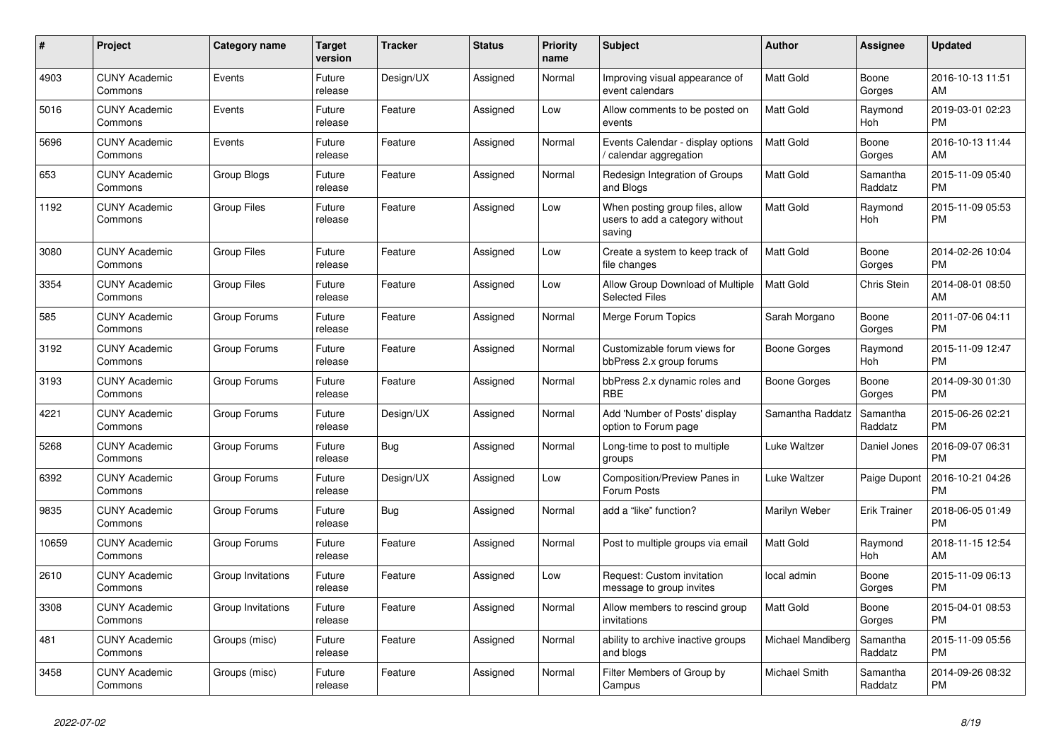| #     | <b>Project</b>                  | Category name      | <b>Target</b><br>version | <b>Tracker</b> | <b>Status</b> | <b>Priority</b><br>name | <b>Subject</b>                                                               | <b>Author</b>     | Assignee            | <b>Updated</b>                |
|-------|---------------------------------|--------------------|--------------------------|----------------|---------------|-------------------------|------------------------------------------------------------------------------|-------------------|---------------------|-------------------------------|
| 4903  | <b>CUNY Academic</b><br>Commons | Events             | Future<br>release        | Design/UX      | Assigned      | Normal                  | Improving visual appearance of<br>event calendars                            | <b>Matt Gold</b>  | Boone<br>Gorges     | 2016-10-13 11:51<br>AM        |
| 5016  | <b>CUNY Academic</b><br>Commons | Events             | Future<br>release        | Feature        | Assigned      | Low                     | Allow comments to be posted on<br>events                                     | <b>Matt Gold</b>  | Raymond<br>Hoh      | 2019-03-01 02:23<br><b>PM</b> |
| 5696  | <b>CUNY Academic</b><br>Commons | Events             | Future<br>release        | Feature        | Assigned      | Normal                  | Events Calendar - display options<br>/ calendar aggregation                  | <b>Matt Gold</b>  | Boone<br>Gorges     | 2016-10-13 11:44<br>AM        |
| 653   | <b>CUNY Academic</b><br>Commons | Group Blogs        | Future<br>release        | Feature        | Assigned      | Normal                  | Redesign Integration of Groups<br>and Blogs                                  | <b>Matt Gold</b>  | Samantha<br>Raddatz | 2015-11-09 05:40<br><b>PM</b> |
| 1192  | <b>CUNY Academic</b><br>Commons | <b>Group Files</b> | Future<br>release        | Feature        | Assigned      | Low                     | When posting group files, allow<br>users to add a category without<br>saving | Matt Gold         | Raymond<br>Hoh      | 2015-11-09 05:53<br><b>PM</b> |
| 3080  | <b>CUNY Academic</b><br>Commons | <b>Group Files</b> | Future<br>release        | Feature        | Assigned      | Low                     | Create a system to keep track of<br>file changes                             | <b>Matt Gold</b>  | Boone<br>Gorges     | 2014-02-26 10:04<br><b>PM</b> |
| 3354  | <b>CUNY Academic</b><br>Commons | <b>Group Files</b> | Future<br>release        | Feature        | Assigned      | Low                     | Allow Group Download of Multiple<br><b>Selected Files</b>                    | <b>Matt Gold</b>  | <b>Chris Stein</b>  | 2014-08-01 08:50<br>AM        |
| 585   | <b>CUNY Academic</b><br>Commons | Group Forums       | Future<br>release        | Feature        | Assigned      | Normal                  | Merge Forum Topics                                                           | Sarah Morgano     | Boone<br>Gorges     | 2011-07-06 04:11<br><b>PM</b> |
| 3192  | <b>CUNY Academic</b><br>Commons | Group Forums       | Future<br>release        | Feature        | Assigned      | Normal                  | Customizable forum views for<br>bbPress 2.x group forums                     | Boone Gorges      | Raymond<br>Hoh      | 2015-11-09 12:47<br><b>PM</b> |
| 3193  | <b>CUNY Academic</b><br>Commons | Group Forums       | Future<br>release        | Feature        | Assigned      | Normal                  | bbPress 2.x dynamic roles and<br><b>RBE</b>                                  | Boone Gorges      | Boone<br>Gorges     | 2014-09-30 01:30<br><b>PM</b> |
| 4221  | <b>CUNY Academic</b><br>Commons | Group Forums       | Future<br>release        | Design/UX      | Assigned      | Normal                  | Add 'Number of Posts' display<br>option to Forum page                        | Samantha Raddatz  | Samantha<br>Raddatz | 2015-06-26 02:21<br><b>PM</b> |
| 5268  | <b>CUNY Academic</b><br>Commons | Group Forums       | Future<br>release        | Bug            | Assigned      | Normal                  | Long-time to post to multiple<br>groups                                      | Luke Waltzer      | Daniel Jones        | 2016-09-07 06:31<br><b>PM</b> |
| 6392  | <b>CUNY Academic</b><br>Commons | Group Forums       | Future<br>release        | Design/UX      | Assigned      | Low                     | Composition/Preview Panes in<br>Forum Posts                                  | Luke Waltzer      | Paige Dupont        | 2016-10-21 04:26<br><b>PM</b> |
| 9835  | <b>CUNY Academic</b><br>Commons | Group Forums       | Future<br>release        | Bug            | Assigned      | Normal                  | add a "like" function?                                                       | Marilyn Weber     | <b>Erik Trainer</b> | 2018-06-05 01:49<br><b>PM</b> |
| 10659 | <b>CUNY Academic</b><br>Commons | Group Forums       | Future<br>release        | Feature        | Assigned      | Normal                  | Post to multiple groups via email                                            | <b>Matt Gold</b>  | Raymond<br>Hoh      | 2018-11-15 12:54<br>AM        |
| 2610  | <b>CUNY Academic</b><br>Commons | Group Invitations  | Future<br>release        | Feature        | Assigned      | Low                     | Request: Custom invitation<br>message to group invites                       | local admin       | Boone<br>Gorges     | 2015-11-09 06:13<br><b>PM</b> |
| 3308  | <b>CUNY Academic</b><br>Commons | Group Invitations  | Future<br>release        | Feature        | Assigned      | Normal                  | Allow members to rescind group<br>invitations                                | Matt Gold         | Boone<br>Gorges     | 2015-04-01 08:53<br><b>PM</b> |
| 481   | <b>CUNY Academic</b><br>Commons | Groups (misc)      | Future<br>release        | Feature        | Assigned      | Normal                  | ability to archive inactive groups<br>and blogs                              | Michael Mandiberg | Samantha<br>Raddatz | 2015-11-09 05:56<br><b>PM</b> |
| 3458  | <b>CUNY Academic</b><br>Commons | Groups (misc)      | Future<br>release        | Feature        | Assigned      | Normal                  | Filter Members of Group by<br>Campus                                         | Michael Smith     | Samantha<br>Raddatz | 2014-09-26 08:32<br><b>PM</b> |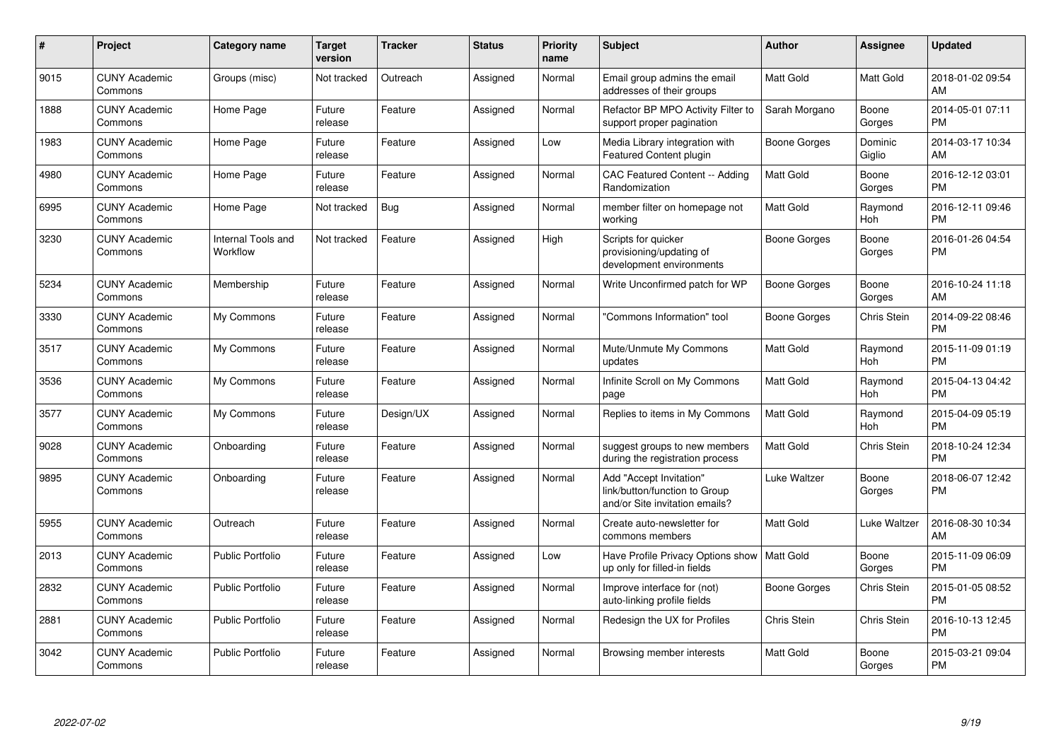| $\#$ | Project                         | <b>Category name</b>                  | Target<br>version | <b>Tracker</b> | <b>Status</b> | Priority<br>name | <b>Subject</b>                                                                             | <b>Author</b>    | <b>Assignee</b>    | <b>Updated</b>                |
|------|---------------------------------|---------------------------------------|-------------------|----------------|---------------|------------------|--------------------------------------------------------------------------------------------|------------------|--------------------|-------------------------------|
| 9015 | <b>CUNY Academic</b><br>Commons | Groups (misc)                         | Not tracked       | Outreach       | Assigned      | Normal           | Email group admins the email<br>addresses of their groups                                  | Matt Gold        | Matt Gold          | 2018-01-02 09:54<br>AM        |
| 1888 | <b>CUNY Academic</b><br>Commons | Home Page                             | Future<br>release | Feature        | Assigned      | Normal           | Refactor BP MPO Activity Filter to<br>support proper pagination                            | Sarah Morgano    | Boone<br>Gorges    | 2014-05-01 07:11<br><b>PM</b> |
| 1983 | <b>CUNY Academic</b><br>Commons | Home Page                             | Future<br>release | Feature        | Assigned      | Low              | Media Library integration with<br><b>Featured Content plugin</b>                           | Boone Gorges     | Dominic<br>Giglio  | 2014-03-17 10:34<br>AM        |
| 4980 | <b>CUNY Academic</b><br>Commons | Home Page                             | Future<br>release | Feature        | Assigned      | Normal           | <b>CAC Featured Content -- Adding</b><br>Randomization                                     | Matt Gold        | Boone<br>Gorges    | 2016-12-12 03:01<br><b>PM</b> |
| 6995 | <b>CUNY Academic</b><br>Commons | Home Page                             | Not tracked       | Bug            | Assigned      | Normal           | member filter on homepage not<br>workina                                                   | Matt Gold        | Raymond<br>Hoh     | 2016-12-11 09:46<br><b>PM</b> |
| 3230 | <b>CUNY Academic</b><br>Commons | <b>Internal Tools and</b><br>Workflow | Not tracked       | Feature        | Assigned      | High             | Scripts for quicker<br>provisioning/updating of<br>development environments                | Boone Gorges     | Boone<br>Gorges    | 2016-01-26 04:54<br><b>PM</b> |
| 5234 | <b>CUNY Academic</b><br>Commons | Membership                            | Future<br>release | Feature        | Assigned      | Normal           | Write Unconfirmed patch for WP                                                             | Boone Gorges     | Boone<br>Gorges    | 2016-10-24 11:18<br>AM        |
| 3330 | <b>CUNY Academic</b><br>Commons | My Commons                            | Future<br>release | Feature        | Assigned      | Normal           | "Commons Information" tool                                                                 | Boone Gorges     | <b>Chris Stein</b> | 2014-09-22 08:46<br><b>PM</b> |
| 3517 | <b>CUNY Academic</b><br>Commons | My Commons                            | Future<br>release | Feature        | Assigned      | Normal           | Mute/Unmute My Commons<br>updates                                                          | <b>Matt Gold</b> | Raymond<br>Hoh     | 2015-11-09 01:19<br><b>PM</b> |
| 3536 | <b>CUNY Academic</b><br>Commons | My Commons                            | Future<br>release | Feature        | Assigned      | Normal           | Infinite Scroll on My Commons<br>page                                                      | Matt Gold        | Raymond<br>Hoh     | 2015-04-13 04:42<br><b>PM</b> |
| 3577 | <b>CUNY Academic</b><br>Commons | My Commons                            | Future<br>release | Design/UX      | Assigned      | Normal           | Replies to items in My Commons                                                             | Matt Gold        | Raymond<br>Hoh     | 2015-04-09 05:19<br><b>PM</b> |
| 9028 | <b>CUNY Academic</b><br>Commons | Onboarding                            | Future<br>release | Feature        | Assigned      | Normal           | suggest groups to new members<br>during the registration process                           | Matt Gold        | Chris Stein        | 2018-10-24 12:34<br><b>PM</b> |
| 9895 | <b>CUNY Academic</b><br>Commons | Onboarding                            | Future<br>release | Feature        | Assigned      | Normal           | Add "Accept Invitation"<br>link/button/function to Group<br>and/or Site invitation emails? | Luke Waltzer     | Boone<br>Gorges    | 2018-06-07 12:42<br><b>PM</b> |
| 5955 | <b>CUNY Academic</b><br>Commons | Outreach                              | Future<br>release | Feature        | Assigned      | Normal           | Create auto-newsletter for<br>commons members                                              | Matt Gold        | Luke Waltzer       | 2016-08-30 10:34<br>AM        |
| 2013 | <b>CUNY Academic</b><br>Commons | <b>Public Portfolio</b>               | Future<br>release | Feature        | Assigned      | Low              | Have Profile Privacy Options show<br>up only for filled-in fields                          | l Matt Gold      | Boone<br>Gorges    | 2015-11-09 06:09<br><b>PM</b> |
| 2832 | <b>CUNY Academic</b><br>Commons | <b>Public Portfolio</b>               | Future<br>release | Feature        | Assigned      | Normal           | Improve interface for (not)<br>auto-linking profile fields                                 | Boone Gorges     | Chris Stein        | 2015-01-05 08:52<br><b>PM</b> |
| 2881 | <b>CUNY Academic</b><br>Commons | <b>Public Portfolio</b>               | Future<br>release | Feature        | Assigned      | Normal           | Redesign the UX for Profiles                                                               | Chris Stein      | Chris Stein        | 2016-10-13 12:45<br><b>PM</b> |
| 3042 | CUNY Academic<br>Commons        | <b>Public Portfolio</b>               | Future<br>release | Feature        | Assigned      | Normal           | Browsing member interests                                                                  | <b>Matt Gold</b> | Boone<br>Gorges    | 2015-03-21 09:04<br><b>PM</b> |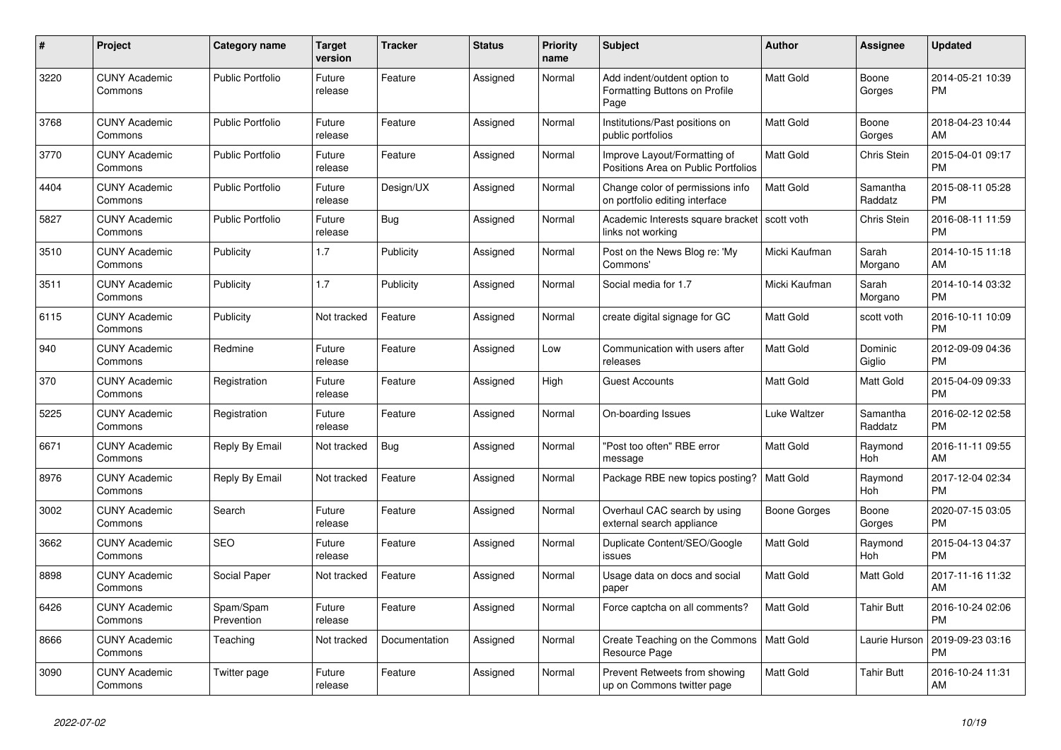| #    | Project                         | <b>Category name</b>    | <b>Target</b><br>version | <b>Tracker</b> | <b>Status</b> | <b>Priority</b><br>name | <b>Subject</b>                                                        | <b>Author</b>    | <b>Assignee</b>     | <b>Updated</b>                |
|------|---------------------------------|-------------------------|--------------------------|----------------|---------------|-------------------------|-----------------------------------------------------------------------|------------------|---------------------|-------------------------------|
| 3220 | <b>CUNY Academic</b><br>Commons | <b>Public Portfolio</b> | Future<br>release        | Feature        | Assigned      | Normal                  | Add indent/outdent option to<br>Formatting Buttons on Profile<br>Page | <b>Matt Gold</b> | Boone<br>Gorges     | 2014-05-21 10:39<br><b>PM</b> |
| 3768 | <b>CUNY Academic</b><br>Commons | <b>Public Portfolio</b> | Future<br>release        | Feature        | Assigned      | Normal                  | Institutions/Past positions on<br>public portfolios                   | <b>Matt Gold</b> | Boone<br>Gorges     | 2018-04-23 10:44<br>AM        |
| 3770 | <b>CUNY Academic</b><br>Commons | Public Portfolio        | Future<br>release        | Feature        | Assigned      | Normal                  | Improve Layout/Formatting of<br>Positions Area on Public Portfolios   | <b>Matt Gold</b> | Chris Stein         | 2015-04-01 09:17<br><b>PM</b> |
| 4404 | <b>CUNY Academic</b><br>Commons | <b>Public Portfolio</b> | Future<br>release        | Design/UX      | Assigned      | Normal                  | Change color of permissions info<br>on portfolio editing interface    | Matt Gold        | Samantha<br>Raddatz | 2015-08-11 05:28<br><b>PM</b> |
| 5827 | <b>CUNY Academic</b><br>Commons | <b>Public Portfolio</b> | Future<br>release        | Bug            | Assigned      | Normal                  | Academic Interests square bracket   scott voth<br>links not working   |                  | Chris Stein         | 2016-08-11 11:59<br><b>PM</b> |
| 3510 | <b>CUNY Academic</b><br>Commons | Publicity               | 1.7                      | Publicity      | Assigned      | Normal                  | Post on the News Blog re: 'My<br>Commons'                             | Micki Kaufman    | Sarah<br>Morgano    | 2014-10-15 11:18<br>AM        |
| 3511 | <b>CUNY Academic</b><br>Commons | Publicity               | 1.7                      | Publicity      | Assigned      | Normal                  | Social media for 1.7                                                  | Micki Kaufman    | Sarah<br>Morgano    | 2014-10-14 03:32<br><b>PM</b> |
| 6115 | <b>CUNY Academic</b><br>Commons | Publicity               | Not tracked              | Feature        | Assigned      | Normal                  | create digital signage for GC                                         | Matt Gold        | scott voth          | 2016-10-11 10:09<br><b>PM</b> |
| 940  | <b>CUNY Academic</b><br>Commons | Redmine                 | Future<br>release        | Feature        | Assigned      | Low                     | Communication with users after<br>releases                            | <b>Matt Gold</b> | Dominic<br>Giglio   | 2012-09-09 04:36<br><b>PM</b> |
| 370  | <b>CUNY Academic</b><br>Commons | Registration            | Future<br>release        | Feature        | Assigned      | High                    | <b>Guest Accounts</b>                                                 | Matt Gold        | <b>Matt Gold</b>    | 2015-04-09 09:33<br><b>PM</b> |
| 5225 | <b>CUNY Academic</b><br>Commons | Registration            | Future<br>release        | Feature        | Assigned      | Normal                  | On-boarding Issues                                                    | Luke Waltzer     | Samantha<br>Raddatz | 2016-02-12 02:58<br><b>PM</b> |
| 6671 | <b>CUNY Academic</b><br>Commons | Reply By Email          | Not tracked              | <b>Bug</b>     | Assigned      | Normal                  | 'Post too often" RBE error<br>message                                 | <b>Matt Gold</b> | Raymond<br>Hoh      | 2016-11-11 09:55<br>AM        |
| 8976 | <b>CUNY Academic</b><br>Commons | Reply By Email          | Not tracked              | Feature        | Assigned      | Normal                  | Package RBE new topics posting?                                       | <b>Matt Gold</b> | Raymond<br>Hoh      | 2017-12-04 02:34<br><b>PM</b> |
| 3002 | <b>CUNY Academic</b><br>Commons | Search                  | Future<br>release        | Feature        | Assigned      | Normal                  | Overhaul CAC search by using<br>external search appliance             | Boone Gorges     | Boone<br>Gorges     | 2020-07-15 03:05<br><b>PM</b> |
| 3662 | <b>CUNY Academic</b><br>Commons | <b>SEO</b>              | Future<br>release        | Feature        | Assigned      | Normal                  | Duplicate Content/SEO/Google<br>issues                                | Matt Gold        | Raymond<br>Hoh      | 2015-04-13 04:37<br><b>PM</b> |
| 8898 | <b>CUNY Academic</b><br>Commons | Social Paper            | Not tracked              | Feature        | Assigned      | Normal                  | Usage data on docs and social<br>paper                                | <b>Matt Gold</b> | Matt Gold           | 2017-11-16 11:32<br>AM        |
| 6426 | <b>CUNY Academic</b><br>Commons | Spam/Spam<br>Prevention | Future<br>release        | Feature        | Assigned      | Normal                  | Force captcha on all comments?                                        | <b>Matt Gold</b> | <b>Tahir Butt</b>   | 2016-10-24 02:06<br><b>PM</b> |
| 8666 | <b>CUNY Academic</b><br>Commons | Teaching                | Not tracked              | Documentation  | Assigned      | Normal                  | Create Teaching on the Commons<br>Resource Page                       | Matt Gold        | Laurie Hurson       | 2019-09-23 03:16<br><b>PM</b> |
| 3090 | <b>CUNY Academic</b><br>Commons | Twitter page            | Future<br>release        | Feature        | Assigned      | Normal                  | Prevent Retweets from showing<br>up on Commons twitter page           | <b>Matt Gold</b> | Tahir Butt          | 2016-10-24 11:31<br>AM        |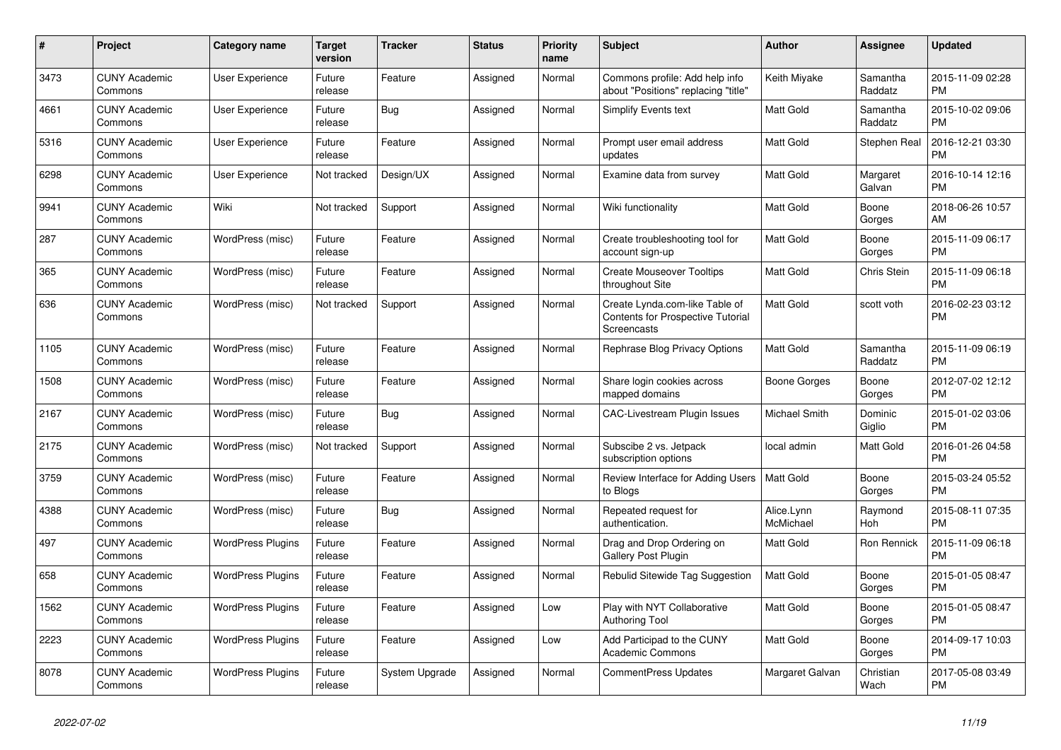| #    | Project                         | Category name            | <b>Target</b><br>version | <b>Tracker</b> | <b>Status</b> | <b>Priority</b><br>name | <b>Subject</b>                                                                     | <b>Author</b>           | Assignee            | <b>Updated</b>                |
|------|---------------------------------|--------------------------|--------------------------|----------------|---------------|-------------------------|------------------------------------------------------------------------------------|-------------------------|---------------------|-------------------------------|
| 3473 | <b>CUNY Academic</b><br>Commons | <b>User Experience</b>   | Future<br>release        | Feature        | Assigned      | Normal                  | Commons profile: Add help info<br>about "Positions" replacing "title"              | Keith Miyake            | Samantha<br>Raddatz | 2015-11-09 02:28<br><b>PM</b> |
| 4661 | <b>CUNY Academic</b><br>Commons | <b>User Experience</b>   | Future<br>release        | Bug            | Assigned      | Normal                  | Simplify Events text                                                               | Matt Gold               | Samantha<br>Raddatz | 2015-10-02 09:06<br><b>PM</b> |
| 5316 | <b>CUNY Academic</b><br>Commons | User Experience          | Future<br>release        | Feature        | Assigned      | Normal                  | Prompt user email address<br>updates                                               | <b>Matt Gold</b>        | Stephen Real        | 2016-12-21 03:30<br><b>PM</b> |
| 6298 | <b>CUNY Academic</b><br>Commons | <b>User Experience</b>   | Not tracked              | Design/UX      | Assigned      | Normal                  | Examine data from survey                                                           | <b>Matt Gold</b>        | Margaret<br>Galvan  | 2016-10-14 12:16<br><b>PM</b> |
| 9941 | <b>CUNY Academic</b><br>Commons | Wiki                     | Not tracked              | Support        | Assigned      | Normal                  | Wiki functionality                                                                 | Matt Gold               | Boone<br>Gorges     | 2018-06-26 10:57<br>AM        |
| 287  | <b>CUNY Academic</b><br>Commons | WordPress (misc)         | Future<br>release        | Feature        | Assigned      | Normal                  | Create troubleshooting tool for<br>account sign-up                                 | Matt Gold               | Boone<br>Gorges     | 2015-11-09 06:17<br><b>PM</b> |
| 365  | <b>CUNY Academic</b><br>Commons | WordPress (misc)         | Future<br>release        | Feature        | Assigned      | Normal                  | <b>Create Mouseover Tooltips</b><br>throughout Site                                | <b>Matt Gold</b>        | Chris Stein         | 2015-11-09 06:18<br><b>PM</b> |
| 636  | <b>CUNY Academic</b><br>Commons | WordPress (misc)         | Not tracked              | Support        | Assigned      | Normal                  | Create Lynda.com-like Table of<br>Contents for Prospective Tutorial<br>Screencasts | <b>Matt Gold</b>        | scott voth          | 2016-02-23 03:12<br><b>PM</b> |
| 1105 | <b>CUNY Academic</b><br>Commons | WordPress (misc)         | Future<br>release        | Feature        | Assigned      | Normal                  | Rephrase Blog Privacy Options                                                      | <b>Matt Gold</b>        | Samantha<br>Raddatz | 2015-11-09 06:19<br><b>PM</b> |
| 1508 | <b>CUNY Academic</b><br>Commons | WordPress (misc)         | Future<br>release        | Feature        | Assigned      | Normal                  | Share login cookies across<br>mapped domains                                       | Boone Gorges            | Boone<br>Gorges     | 2012-07-02 12:12<br><b>PM</b> |
| 2167 | <b>CUNY Academic</b><br>Commons | WordPress (misc)         | Future<br>release        | Bug            | Assigned      | Normal                  | <b>CAC-Livestream Plugin Issues</b>                                                | Michael Smith           | Dominic<br>Giglio   | 2015-01-02 03:06<br><b>PM</b> |
| 2175 | <b>CUNY Academic</b><br>Commons | WordPress (misc)         | Not tracked              | Support        | Assigned      | Normal                  | Subscibe 2 vs. Jetpack<br>subscription options                                     | local admin             | Matt Gold           | 2016-01-26 04:58<br><b>PM</b> |
| 3759 | <b>CUNY Academic</b><br>Commons | WordPress (misc)         | Future<br>release        | Feature        | Assigned      | Normal                  | Review Interface for Adding Users<br>to Blogs                                      | <b>Matt Gold</b>        | Boone<br>Gorges     | 2015-03-24 05:52<br><b>PM</b> |
| 4388 | <b>CUNY Academic</b><br>Commons | WordPress (misc)         | Future<br>release        | Bug            | Assigned      | Normal                  | Repeated request for<br>authentication.                                            | Alice.Lynn<br>McMichael | Raymond<br>Hoh      | 2015-08-11 07:35<br><b>PM</b> |
| 497  | <b>CUNY Academic</b><br>Commons | <b>WordPress Plugins</b> | Future<br>release        | Feature        | Assigned      | Normal                  | Drag and Drop Ordering on<br>Gallery Post Plugin                                   | Matt Gold               | Ron Rennick         | 2015-11-09 06:18<br><b>PM</b> |
| 658  | <b>CUNY Academic</b><br>Commons | <b>WordPress Plugins</b> | Future<br>release        | Feature        | Assigned      | Normal                  | Rebulid Sitewide Tag Suggestion                                                    | <b>Matt Gold</b>        | Boone<br>Gorges     | 2015-01-05 08:47<br><b>PM</b> |
| 1562 | <b>CUNY Academic</b><br>Commons | <b>WordPress Plugins</b> | Future<br>release        | Feature        | Assigned      | Low                     | Play with NYT Collaborative<br><b>Authoring Tool</b>                               | Matt Gold               | Boone<br>Gorges     | 2015-01-05 08:47<br><b>PM</b> |
| 2223 | <b>CUNY Academic</b><br>Commons | <b>WordPress Plugins</b> | Future<br>release        | Feature        | Assigned      | Low                     | Add Participad to the CUNY<br><b>Academic Commons</b>                              | Matt Gold               | Boone<br>Gorges     | 2014-09-17 10:03<br><b>PM</b> |
| 8078 | <b>CUNY Academic</b><br>Commons | <b>WordPress Plugins</b> | Future<br>release        | System Upgrade | Assigned      | Normal                  | <b>CommentPress Updates</b>                                                        | Margaret Galvan         | Christian<br>Wach   | 2017-05-08 03:49<br><b>PM</b> |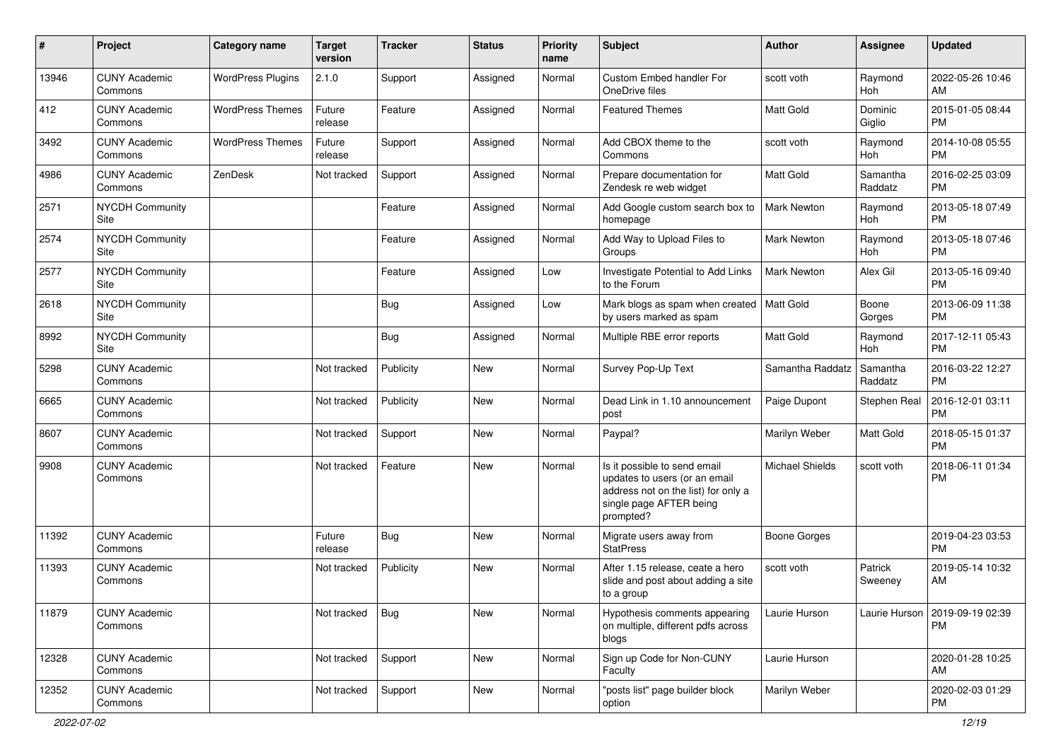| ∦     | Project                         | <b>Category name</b>     | <b>Target</b><br>version | <b>Tracker</b> | <b>Status</b> | <b>Priority</b><br>name | Subject                                                                                                                                      | <b>Author</b>          | <b>Assignee</b>     | <b>Updated</b>                |
|-------|---------------------------------|--------------------------|--------------------------|----------------|---------------|-------------------------|----------------------------------------------------------------------------------------------------------------------------------------------|------------------------|---------------------|-------------------------------|
| 13946 | <b>CUNY Academic</b><br>Commons | <b>WordPress Plugins</b> | 2.1.0                    | Support        | Assigned      | Normal                  | Custom Embed handler For<br>OneDrive files                                                                                                   | scott voth             | Raymond<br>Hoh      | 2022-05-26 10:46<br>AM        |
| 412   | <b>CUNY Academic</b><br>Commons | <b>WordPress Themes</b>  | Future<br>release        | Feature        | Assigned      | Normal                  | <b>Featured Themes</b>                                                                                                                       | <b>Matt Gold</b>       | Dominic<br>Giglio   | 2015-01-05 08:44<br><b>PM</b> |
| 3492  | <b>CUNY Academic</b><br>Commons | <b>WordPress Themes</b>  | Future<br>release        | Support        | Assigned      | Normal                  | Add CBOX theme to the<br>Commons                                                                                                             | scott voth             | Raymond<br>Hoh      | 2014-10-08 05:55<br><b>PM</b> |
| 4986  | <b>CUNY Academic</b><br>Commons | ZenDesk                  | Not tracked              | Support        | Assigned      | Normal                  | Prepare documentation for<br>Zendesk re web widget                                                                                           | <b>Matt Gold</b>       | Samantha<br>Raddatz | 2016-02-25 03:09<br><b>PM</b> |
| 2571  | NYCDH Community<br>Site         |                          |                          | Feature        | Assigned      | Normal                  | Add Google custom search box to<br>homepage                                                                                                  | <b>Mark Newton</b>     | Raymond<br>Hoh      | 2013-05-18 07:49<br><b>PM</b> |
| 2574  | <b>NYCDH Community</b><br>Site  |                          |                          | Feature        | Assigned      | Normal                  | Add Way to Upload Files to<br>Groups                                                                                                         | <b>Mark Newton</b>     | Raymond<br>Hoh      | 2013-05-18 07:46<br><b>PM</b> |
| 2577  | NYCDH Community<br>Site         |                          |                          | Feature        | Assigned      | Low                     | Investigate Potential to Add Links<br>to the Forum                                                                                           | <b>Mark Newton</b>     | Alex Gil            | 2013-05-16 09:40<br><b>PM</b> |
| 2618  | NYCDH Community<br>Site         |                          |                          | Bug            | Assigned      | Low                     | Mark blogs as spam when created<br>by users marked as spam                                                                                   | Matt Gold              | Boone<br>Gorges     | 2013-06-09 11:38<br>PM.       |
| 8992  | NYCDH Community<br>Site         |                          |                          | Bug            | Assigned      | Normal                  | Multiple RBE error reports                                                                                                                   | <b>Matt Gold</b>       | Raymond<br>Hoh      | 2017-12-11 05:43<br><b>PM</b> |
| 5298  | <b>CUNY Academic</b><br>Commons |                          | Not tracked              | Publicity      | <b>New</b>    | Normal                  | Survey Pop-Up Text                                                                                                                           | Samantha Raddatz       | Samantha<br>Raddatz | 2016-03-22 12:27<br><b>PM</b> |
| 6665  | <b>CUNY Academic</b><br>Commons |                          | Not tracked              | Publicity      | <b>New</b>    | Normal                  | Dead Link in 1.10 announcement<br>post                                                                                                       | Paige Dupont           | Stephen Real        | 2016-12-01 03:11<br><b>PM</b> |
| 8607  | <b>CUNY Academic</b><br>Commons |                          | Not tracked              | Support        | <b>New</b>    | Normal                  | Paypal?                                                                                                                                      | Marilyn Weber          | Matt Gold           | 2018-05-15 01:37<br><b>PM</b> |
| 9908  | <b>CUNY Academic</b><br>Commons |                          | Not tracked              | Feature        | <b>New</b>    | Normal                  | Is it possible to send email<br>updates to users (or an email<br>address not on the list) for only a<br>single page AFTER being<br>prompted? | <b>Michael Shields</b> | scott voth          | 2018-06-11 01:34<br><b>PM</b> |
| 11392 | <b>CUNY Academic</b><br>Commons |                          | Future<br>release        | Bug            | New           | Normal                  | Migrate users away from<br><b>StatPress</b>                                                                                                  | Boone Gorges           |                     | 2019-04-23 03:53<br><b>PM</b> |
| 11393 | <b>CUNY Academic</b><br>Commons |                          | Not tracked              | Publicity      | <b>New</b>    | Normal                  | After 1.15 release, ceate a hero<br>slide and post about adding a site<br>to a group                                                         | scott voth             | Patrick<br>Sweeney  | 2019-05-14 10:32<br>AM        |
| 11879 | <b>CUNY Academic</b><br>Commons |                          | Not tracked              | <b>Bug</b>     | New           | Normal                  | Hypothesis comments appearing<br>on multiple, different pdfs across<br>blogs                                                                 | Laurie Hurson          | Laurie Hurson       | 2019-09-19 02:39<br><b>PM</b> |
| 12328 | <b>CUNY Academic</b><br>Commons |                          | Not tracked              | Support        | New           | Normal                  | Sign up Code for Non-CUNY<br>Faculty                                                                                                         | Laurie Hurson          |                     | 2020-01-28 10:25<br>AM        |
| 12352 | <b>CUNY Academic</b><br>Commons |                          | Not tracked              | Support        | <b>New</b>    | Normal                  | "posts list" page builder block<br>option                                                                                                    | Marilyn Weber          |                     | 2020-02-03 01:29<br><b>PM</b> |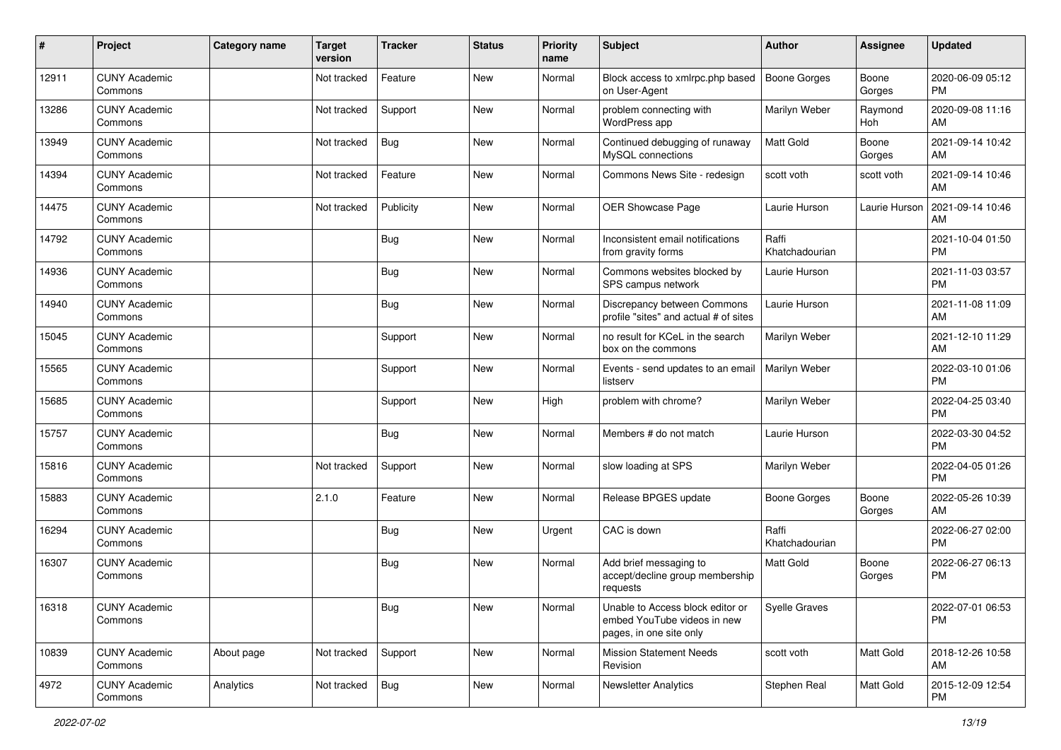| ∦     | Project                         | <b>Category name</b> | <b>Target</b><br>version | <b>Tracker</b> | <b>Status</b> | <b>Priority</b><br>name | Subject                                                                                    | <b>Author</b>           | <b>Assignee</b> | <b>Updated</b>                |
|-------|---------------------------------|----------------------|--------------------------|----------------|---------------|-------------------------|--------------------------------------------------------------------------------------------|-------------------------|-----------------|-------------------------------|
| 12911 | <b>CUNY Academic</b><br>Commons |                      | Not tracked              | Feature        | New           | Normal                  | Block access to xmlrpc.php based<br>on User-Agent                                          | Boone Gorges            | Boone<br>Gorges | 2020-06-09 05:12<br><b>PM</b> |
| 13286 | <b>CUNY Academic</b><br>Commons |                      | Not tracked              | Support        | New           | Normal                  | problem connecting with<br>WordPress app                                                   | Marilyn Weber           | Raymond<br>Hoh  | 2020-09-08 11:16<br>AM        |
| 13949 | <b>CUNY Academic</b><br>Commons |                      | Not tracked              | Bug            | New           | Normal                  | Continued debugging of runaway<br>MySQL connections                                        | Matt Gold               | Boone<br>Gorges | 2021-09-14 10:42<br>AM        |
| 14394 | <b>CUNY Academic</b><br>Commons |                      | Not tracked              | Feature        | New           | Normal                  | Commons News Site - redesign                                                               | scott voth              | scott voth      | 2021-09-14 10:46<br>AM        |
| 14475 | <b>CUNY Academic</b><br>Commons |                      | Not tracked              | Publicity      | New           | Normal                  | OER Showcase Page                                                                          | Laurie Hurson           | Laurie Hurson   | 2021-09-14 10:46<br>AM        |
| 14792 | <b>CUNY Academic</b><br>Commons |                      |                          | Bug            | New           | Normal                  | Inconsistent email notifications<br>from gravity forms                                     | Raffi<br>Khatchadourian |                 | 2021-10-04 01:50<br><b>PM</b> |
| 14936 | <b>CUNY Academic</b><br>Commons |                      |                          | Bug            | New           | Normal                  | Commons websites blocked by<br>SPS campus network                                          | Laurie Hurson           |                 | 2021-11-03 03:57<br><b>PM</b> |
| 14940 | <b>CUNY Academic</b><br>Commons |                      |                          | <b>Bug</b>     | New           | Normal                  | Discrepancy between Commons<br>profile "sites" and actual # of sites                       | Laurie Hurson           |                 | 2021-11-08 11:09<br>AM        |
| 15045 | <b>CUNY Academic</b><br>Commons |                      |                          | Support        | New           | Normal                  | no result for KCeL in the search<br>box on the commons                                     | Marilyn Weber           |                 | 2021-12-10 11:29<br>AM        |
| 15565 | <b>CUNY Academic</b><br>Commons |                      |                          | Support        | New           | Normal                  | Events - send updates to an email<br>listserv                                              | Marilyn Weber           |                 | 2022-03-10 01:06<br><b>PM</b> |
| 15685 | <b>CUNY Academic</b><br>Commons |                      |                          | Support        | New           | High                    | problem with chrome?                                                                       | Marilyn Weber           |                 | 2022-04-25 03:40<br><b>PM</b> |
| 15757 | <b>CUNY Academic</b><br>Commons |                      |                          | <b>Bug</b>     | New           | Normal                  | Members # do not match                                                                     | Laurie Hurson           |                 | 2022-03-30 04:52<br><b>PM</b> |
| 15816 | <b>CUNY Academic</b><br>Commons |                      | Not tracked              | Support        | New           | Normal                  | slow loading at SPS                                                                        | Marilyn Weber           |                 | 2022-04-05 01:26<br><b>PM</b> |
| 15883 | <b>CUNY Academic</b><br>Commons |                      | 2.1.0                    | Feature        | New           | Normal                  | Release BPGES update                                                                       | <b>Boone Gorges</b>     | Boone<br>Gorges | 2022-05-26 10:39<br>AM        |
| 16294 | <b>CUNY Academic</b><br>Commons |                      |                          | <b>Bug</b>     | New           | Urgent                  | CAC is down                                                                                | Raffi<br>Khatchadourian |                 | 2022-06-27 02:00<br><b>PM</b> |
| 16307 | <b>CUNY Academic</b><br>Commons |                      |                          | Bug            | New           | Normal                  | Add brief messaging to<br>accept/decline group membership<br>requests                      | <b>Matt Gold</b>        | Boone<br>Gorges | 2022-06-27 06:13<br><b>PM</b> |
| 16318 | <b>CUNY Academic</b><br>Commons |                      |                          | <b>Bug</b>     | New           | Normal                  | Unable to Access block editor or<br>embed YouTube videos in new<br>pages, in one site only | Syelle Graves           |                 | 2022-07-01 06:53<br><b>PM</b> |
| 10839 | <b>CUNY Academic</b><br>Commons | About page           | Not tracked              | Support        | New           | Normal                  | <b>Mission Statement Needs</b><br>Revision                                                 | scott voth              | Matt Gold       | 2018-12-26 10:58<br>AM        |
| 4972  | <b>CUNY Academic</b><br>Commons | Analytics            | Not tracked              | Bug            | New           | Normal                  | <b>Newsletter Analytics</b>                                                                | Stephen Real            | Matt Gold       | 2015-12-09 12:54<br><b>PM</b> |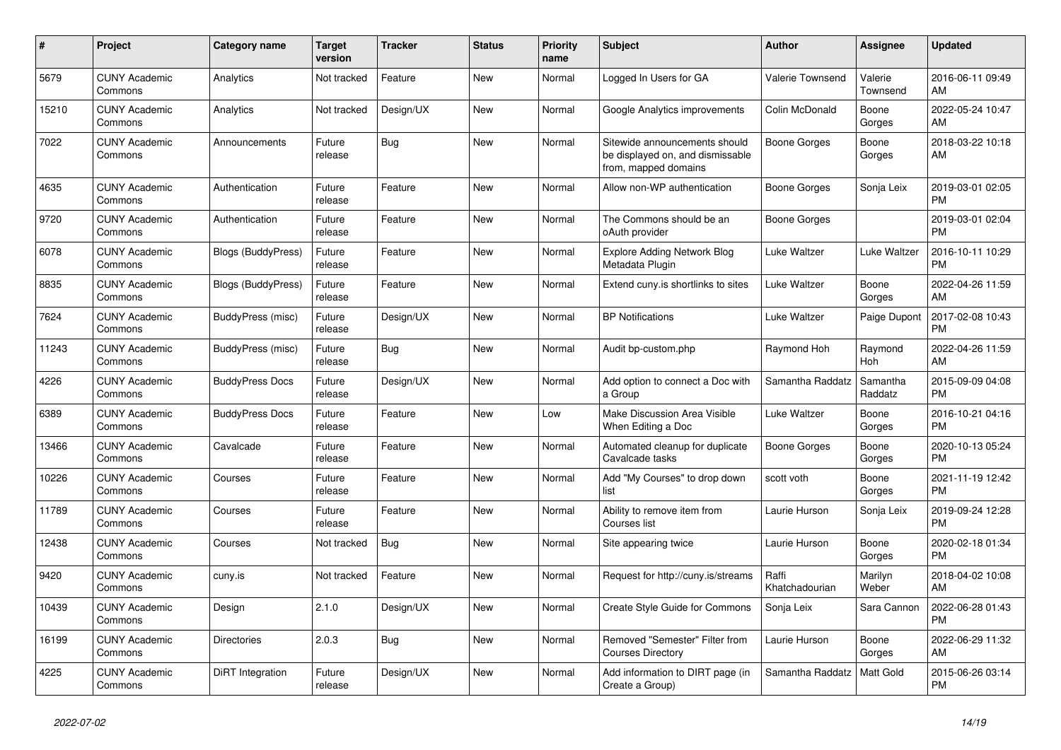| $\#$  | Project                         | <b>Category name</b>      | <b>Target</b><br>version | <b>Tracker</b> | <b>Status</b> | Priority<br>name | <b>Subject</b>                                                                            | <b>Author</b>           | <b>Assignee</b>     | <b>Updated</b>                |
|-------|---------------------------------|---------------------------|--------------------------|----------------|---------------|------------------|-------------------------------------------------------------------------------------------|-------------------------|---------------------|-------------------------------|
| 5679  | <b>CUNY Academic</b><br>Commons | Analytics                 | Not tracked              | Feature        | New           | Normal           | Logged In Users for GA                                                                    | Valerie Townsend        | Valerie<br>Townsend | 2016-06-11 09:49<br>AM        |
| 15210 | <b>CUNY Academic</b><br>Commons | Analytics                 | Not tracked              | Design/UX      | New           | Normal           | Google Analytics improvements                                                             | Colin McDonald          | Boone<br>Gorges     | 2022-05-24 10:47<br>AM        |
| 7022  | <b>CUNY Academic</b><br>Commons | Announcements             | Future<br>release        | Bug            | <b>New</b>    | Normal           | Sitewide announcements should<br>be displayed on, and dismissable<br>from, mapped domains | Boone Gorges            | Boone<br>Gorges     | 2018-03-22 10:18<br>AM        |
| 4635  | <b>CUNY Academic</b><br>Commons | Authentication            | Future<br>release        | Feature        | New           | Normal           | Allow non-WP authentication                                                               | Boone Gorges            | Sonja Leix          | 2019-03-01 02:05<br><b>PM</b> |
| 9720  | <b>CUNY Academic</b><br>Commons | Authentication            | Future<br>release        | Feature        | <b>New</b>    | Normal           | The Commons should be an<br>oAuth provider                                                | Boone Gorges            |                     | 2019-03-01 02:04<br><b>PM</b> |
| 6078  | <b>CUNY Academic</b><br>Commons | <b>Blogs (BuddyPress)</b> | Future<br>release        | Feature        | <b>New</b>    | Normal           | <b>Explore Adding Network Blog</b><br>Metadata Plugin                                     | Luke Waltzer            | Luke Waltzer        | 2016-10-11 10:29<br><b>PM</b> |
| 8835  | <b>CUNY Academic</b><br>Commons | <b>Blogs (BuddyPress)</b> | Future<br>release        | Feature        | <b>New</b>    | Normal           | Extend cuny is shortlinks to sites                                                        | Luke Waltzer            | Boone<br>Gorges     | 2022-04-26 11:59<br>AM        |
| 7624  | <b>CUNY Academic</b><br>Commons | BuddyPress (misc)         | Future<br>release        | Design/UX      | <b>New</b>    | Normal           | <b>BP</b> Notifications                                                                   | Luke Waltzer            | Paige Dupont        | 2017-02-08 10:43<br><b>PM</b> |
| 11243 | <b>CUNY Academic</b><br>Commons | BuddyPress (misc)         | Future<br>release        | Bug            | <b>New</b>    | Normal           | Audit bp-custom.php                                                                       | Raymond Hoh             | Raymond<br>Hoh      | 2022-04-26 11:59<br>AM        |
| 4226  | <b>CUNY Academic</b><br>Commons | <b>BuddyPress Docs</b>    | Future<br>release        | Design/UX      | <b>New</b>    | Normal           | Add option to connect a Doc with<br>a Group                                               | Samantha Raddatz        | Samantha<br>Raddatz | 2015-09-09 04:08<br><b>PM</b> |
| 6389  | <b>CUNY Academic</b><br>Commons | <b>BuddyPress Docs</b>    | Future<br>release        | Feature        | New           | Low              | Make Discussion Area Visible<br>When Editing a Doc                                        | Luke Waltzer            | Boone<br>Gorges     | 2016-10-21 04:16<br><b>PM</b> |
| 13466 | <b>CUNY Academic</b><br>Commons | Cavalcade                 | Future<br>release        | Feature        | New           | Normal           | Automated cleanup for duplicate<br>Cavalcade tasks                                        | Boone Gorges            | Boone<br>Gorges     | 2020-10-13 05:24<br><b>PM</b> |
| 10226 | <b>CUNY Academic</b><br>Commons | Courses                   | Future<br>release        | Feature        | New           | Normal           | Add "My Courses" to drop down<br>list                                                     | scott voth              | Boone<br>Gorges     | 2021-11-19 12:42<br><b>PM</b> |
| 11789 | <b>CUNY Academic</b><br>Commons | Courses                   | Future<br>release        | Feature        | New           | Normal           | Ability to remove item from<br>Courses list                                               | Laurie Hurson           | Sonja Leix          | 2019-09-24 12:28<br><b>PM</b> |
| 12438 | <b>CUNY Academic</b><br>Commons | Courses                   | Not tracked              | <b>Bug</b>     | New           | Normal           | Site appearing twice                                                                      | Laurie Hurson           | Boone<br>Gorges     | 2020-02-18 01:34<br><b>PM</b> |
| 9420  | <b>CUNY Academic</b><br>Commons | cuny.is                   | Not tracked              | Feature        | <b>New</b>    | Normal           | Request for http://cuny.is/streams                                                        | Raffi<br>Khatchadourian | Marilyn<br>Weber    | 2018-04-02 10:08<br>AM        |
| 10439 | <b>CUNY Academic</b><br>Commons | Design                    | 2.1.0                    | Design/UX      | <b>New</b>    | Normal           | Create Style Guide for Commons                                                            | Sonja Leix              | Sara Cannon         | 2022-06-28 01:43<br><b>PM</b> |
| 16199 | <b>CUNY Academic</b><br>Commons | <b>Directories</b>        | 2.0.3                    | Bug            | New           | Normal           | Removed "Semester" Filter from<br><b>Courses Directory</b>                                | Laurie Hurson           | Boone<br>Gorges     | 2022-06-29 11:32<br>AM        |
| 4225  | <b>CUNY Academic</b><br>Commons | DiRT Integration          | Future<br>release        | Design/UX      | <b>New</b>    | Normal           | Add information to DIRT page (in<br>Create a Group)                                       | Samantha Raddatz        | Matt Gold           | 2015-06-26 03:14<br><b>PM</b> |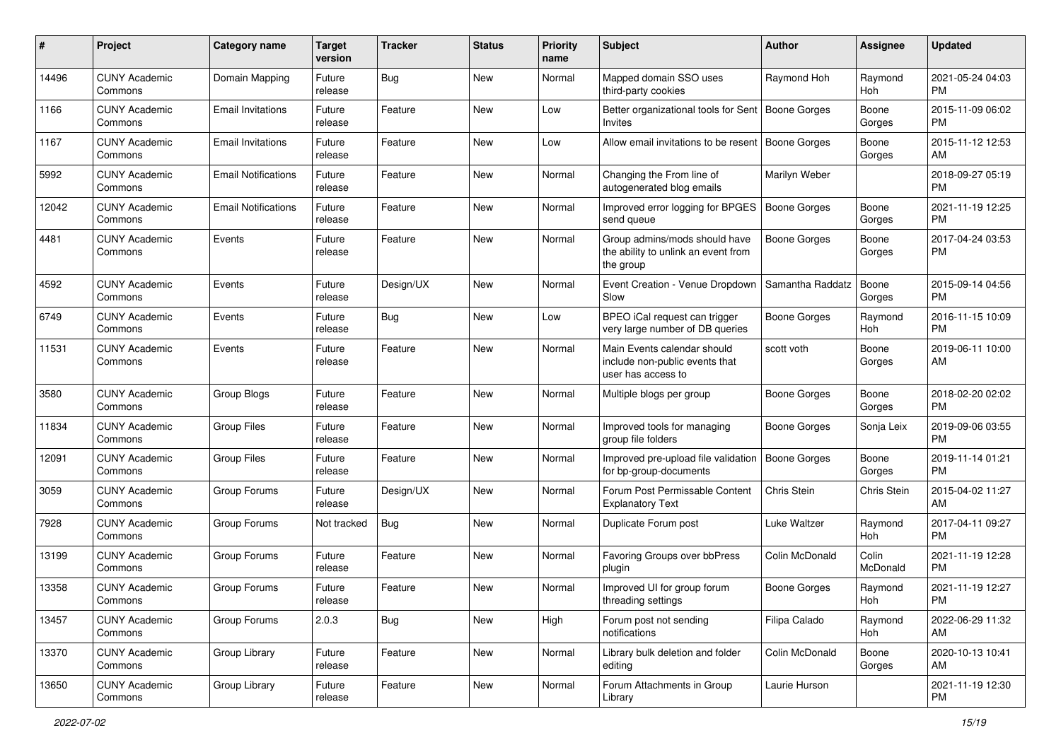| #     | Project                         | <b>Category name</b>       | <b>Target</b><br>version | <b>Tracker</b> | <b>Status</b> | <b>Priority</b><br>name | <b>Subject</b>                                                                      | <b>Author</b>       | <b>Assignee</b>   | <b>Updated</b>                |
|-------|---------------------------------|----------------------------|--------------------------|----------------|---------------|-------------------------|-------------------------------------------------------------------------------------|---------------------|-------------------|-------------------------------|
| 14496 | <b>CUNY Academic</b><br>Commons | Domain Mapping             | Future<br>release        | Bug            | <b>New</b>    | Normal                  | Mapped domain SSO uses<br>third-party cookies                                       | Raymond Hoh         | Raymond<br>Hoh    | 2021-05-24 04:03<br><b>PM</b> |
| 1166  | <b>CUNY Academic</b><br>Commons | <b>Email Invitations</b>   | Future<br>release        | Feature        | New           | Low                     | Better organizational tools for Sent   Boone Gorges<br>Invites                      |                     | Boone<br>Gorges   | 2015-11-09 06:02<br><b>PM</b> |
| 1167  | <b>CUNY Academic</b><br>Commons | <b>Email Invitations</b>   | Future<br>release        | Feature        | New           | Low                     | Allow email invitations to be resent                                                | <b>Boone Gorges</b> | Boone<br>Gorges   | 2015-11-12 12:53<br>AM        |
| 5992  | <b>CUNY Academic</b><br>Commons | <b>Email Notifications</b> | Future<br>release        | Feature        | New           | Normal                  | Changing the From line of<br>autogenerated blog emails                              | Marilyn Weber       |                   | 2018-09-27 05:19<br><b>PM</b> |
| 12042 | <b>CUNY Academic</b><br>Commons | <b>Email Notifications</b> | Future<br>release        | Feature        | New           | Normal                  | Improved error logging for BPGES<br>send queue                                      | Boone Gorges        | Boone<br>Gorges   | 2021-11-19 12:25<br><b>PM</b> |
| 4481  | <b>CUNY Academic</b><br>Commons | Events                     | Future<br>release        | Feature        | New           | Normal                  | Group admins/mods should have<br>the ability to unlink an event from<br>the group   | <b>Boone Gorges</b> | Boone<br>Gorges   | 2017-04-24 03:53<br>PM.       |
| 4592  | <b>CUNY Academic</b><br>Commons | Events                     | Future<br>release        | Design/UX      | New           | Normal                  | Event Creation - Venue Dropdown<br>Slow                                             | Samantha Raddatz    | Boone<br>Gorges   | 2015-09-14 04:56<br><b>PM</b> |
| 6749  | <b>CUNY Academic</b><br>Commons | Events                     | Future<br>release        | Bug            | New           | Low                     | BPEO iCal request can trigger<br>very large number of DB queries                    | Boone Gorges        | Raymond<br>Hoh    | 2016-11-15 10:09<br><b>PM</b> |
| 11531 | <b>CUNY Academic</b><br>Commons | Events                     | Future<br>release        | Feature        | New           | Normal                  | Main Events calendar should<br>include non-public events that<br>user has access to | scott voth          | Boone<br>Gorges   | 2019-06-11 10:00<br>AM        |
| 3580  | <b>CUNY Academic</b><br>Commons | Group Blogs                | Future<br>release        | Feature        | <b>New</b>    | Normal                  | Multiple blogs per group                                                            | Boone Gorges        | Boone<br>Gorges   | 2018-02-20 02:02<br>PM.       |
| 11834 | <b>CUNY Academic</b><br>Commons | <b>Group Files</b>         | Future<br>release        | Feature        | New           | Normal                  | Improved tools for managing<br>group file folders                                   | Boone Gorges        | Sonja Leix        | 2019-09-06 03:55<br><b>PM</b> |
| 12091 | <b>CUNY Academic</b><br>Commons | <b>Group Files</b>         | Future<br>release        | Feature        | New           | Normal                  | Improved pre-upload file validation<br>for bp-group-documents                       | <b>Boone Gorges</b> | Boone<br>Gorges   | 2019-11-14 01:21<br><b>PM</b> |
| 3059  | <b>CUNY Academic</b><br>Commons | Group Forums               | Future<br>release        | Design/UX      | <b>New</b>    | Normal                  | Forum Post Permissable Content<br><b>Explanatory Text</b>                           | Chris Stein         | Chris Stein       | 2015-04-02 11:27<br>AM        |
| 7928  | <b>CUNY Academic</b><br>Commons | Group Forums               | Not tracked              | Bug            | <b>New</b>    | Normal                  | Duplicate Forum post                                                                | Luke Waltzer        | Raymond<br>Hoh    | 2017-04-11 09:27<br><b>PM</b> |
| 13199 | <b>CUNY Academic</b><br>Commons | Group Forums               | Future<br>release        | Feature        | New           | Normal                  | Favoring Groups over bbPress<br>plugin                                              | Colin McDonald      | Colin<br>McDonald | 2021-11-19 12:28<br><b>PM</b> |
| 13358 | <b>CUNY Academic</b><br>Commons | Group Forums               | Future<br>release        | Feature        | New           | Normal                  | Improved UI for group forum<br>threading settings                                   | Boone Gorges        | Raymond<br>Hoh    | 2021-11-19 12:27<br><b>PM</b> |
| 13457 | <b>CUNY Academic</b><br>Commons | Group Forums               | 2.0.3                    | <b>Bug</b>     | New           | High                    | Forum post not sending<br>notifications                                             | Filipa Calado       | Raymond<br>Hoh    | 2022-06-29 11:32<br>AM        |
| 13370 | <b>CUNY Academic</b><br>Commons | Group Library              | Future<br>release        | Feature        | New           | Normal                  | Library bulk deletion and folder<br>editing                                         | Colin McDonald      | Boone<br>Gorges   | 2020-10-13 10:41<br>AM        |
| 13650 | <b>CUNY Academic</b><br>Commons | Group Library              | Future<br>release        | Feature        | New           | Normal                  | Forum Attachments in Group<br>Library                                               | Laurie Hurson       |                   | 2021-11-19 12:30<br><b>PM</b> |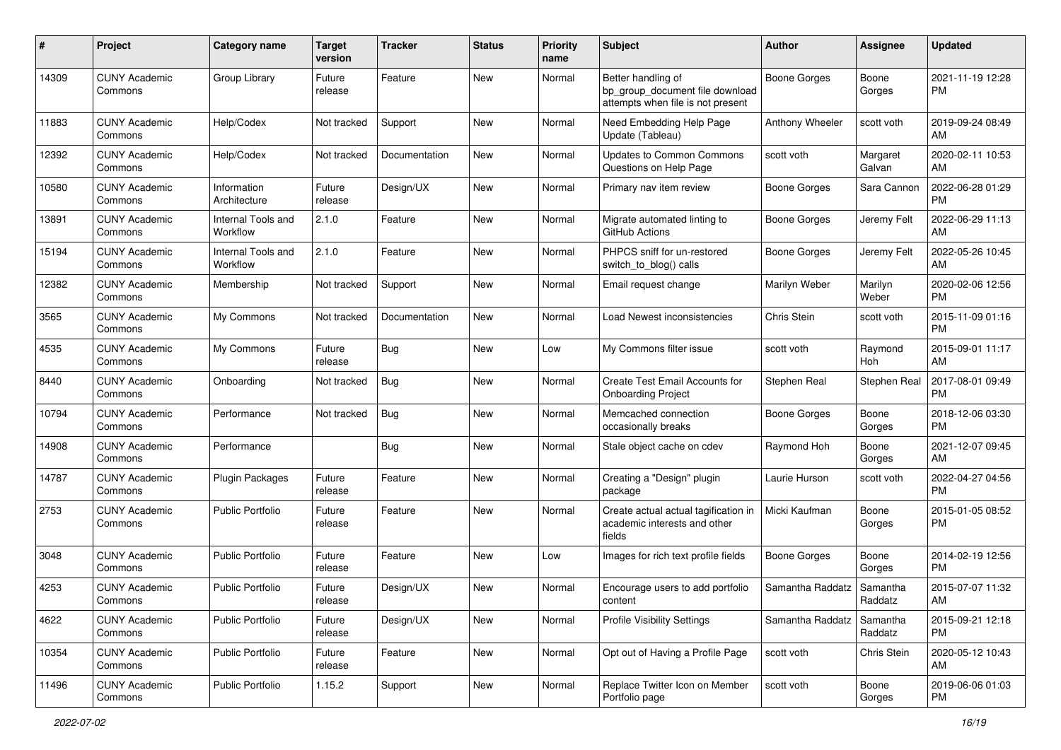| #     | Project                         | <b>Category name</b>           | <b>Target</b><br>version | <b>Tracker</b> | <b>Status</b> | Priority<br>name | <b>Subject</b>                                                                             | Author              | <b>Assignee</b>     | <b>Updated</b>                |
|-------|---------------------------------|--------------------------------|--------------------------|----------------|---------------|------------------|--------------------------------------------------------------------------------------------|---------------------|---------------------|-------------------------------|
| 14309 | <b>CUNY Academic</b><br>Commons | Group Library                  | Future<br>release        | Feature        | <b>New</b>    | Normal           | Better handling of<br>bp_group_document file download<br>attempts when file is not present | <b>Boone Gorges</b> | Boone<br>Gorges     | 2021-11-19 12:28<br><b>PM</b> |
| 11883 | <b>CUNY Academic</b><br>Commons | Help/Codex                     | Not tracked              | Support        | <b>New</b>    | Normal           | Need Embedding Help Page<br>Update (Tableau)                                               | Anthony Wheeler     | scott voth          | 2019-09-24 08:49<br>AM        |
| 12392 | <b>CUNY Academic</b><br>Commons | Help/Codex                     | Not tracked              | Documentation  | New           | Normal           | Updates to Common Commons<br>Questions on Help Page                                        | scott voth          | Margaret<br>Galvan  | 2020-02-11 10:53<br>AM        |
| 10580 | <b>CUNY Academic</b><br>Commons | Information<br>Architecture    | Future<br>release        | Design/UX      | New           | Normal           | Primary nav item review                                                                    | <b>Boone Gorges</b> | Sara Cannon         | 2022-06-28 01:29<br><b>PM</b> |
| 13891 | <b>CUNY Academic</b><br>Commons | Internal Tools and<br>Workflow | 2.1.0                    | Feature        | <b>New</b>    | Normal           | Migrate automated linting to<br>GitHub Actions                                             | Boone Gorges        | Jeremy Felt         | 2022-06-29 11:13<br>AM        |
| 15194 | <b>CUNY Academic</b><br>Commons | Internal Tools and<br>Workflow | 2.1.0                    | Feature        | <b>New</b>    | Normal           | PHPCS sniff for un-restored<br>switch_to_blog() calls                                      | Boone Gorges        | Jeremy Felt         | 2022-05-26 10:45<br>AM        |
| 12382 | <b>CUNY Academic</b><br>Commons | Membership                     | Not tracked              | Support        | New           | Normal           | Email request change                                                                       | Marilyn Weber       | Marilyn<br>Weber    | 2020-02-06 12:56<br><b>PM</b> |
| 3565  | <b>CUNY Academic</b><br>Commons | My Commons                     | Not tracked              | Documentation  | <b>New</b>    | Normal           | Load Newest inconsistencies                                                                | Chris Stein         | scott voth          | 2015-11-09 01:16<br><b>PM</b> |
| 4535  | <b>CUNY Academic</b><br>Commons | My Commons                     | Future<br>release        | <b>Bug</b>     | <b>New</b>    | Low              | My Commons filter issue                                                                    | scott voth          | Raymond<br>Hoh      | 2015-09-01 11:17<br>AM        |
| 8440  | <b>CUNY Academic</b><br>Commons | Onboarding                     | Not tracked              | <b>Bug</b>     | New           | Normal           | Create Test Email Accounts for<br><b>Onboarding Project</b>                                | Stephen Real        | Stephen Real        | 2017-08-01 09:49<br><b>PM</b> |
| 10794 | <b>CUNY Academic</b><br>Commons | Performance                    | Not tracked              | Bug            | New           | Normal           | Memcached connection<br>occasionally breaks                                                | Boone Gorges        | Boone<br>Gorges     | 2018-12-06 03:30<br><b>PM</b> |
| 14908 | <b>CUNY Academic</b><br>Commons | Performance                    |                          | Bug            | <b>New</b>    | Normal           | Stale object cache on cdev                                                                 | Raymond Hoh         | Boone<br>Gorges     | 2021-12-07 09:45<br>AM        |
| 14787 | <b>CUNY Academic</b><br>Commons | Plugin Packages                | Future<br>release        | Feature        | <b>New</b>    | Normal           | Creating a "Design" plugin<br>package                                                      | Laurie Hurson       | scott voth          | 2022-04-27 04:56<br><b>PM</b> |
| 2753  | <b>CUNY Academic</b><br>Commons | <b>Public Portfolio</b>        | Future<br>release        | Feature        | New           | Normal           | Create actual actual tagification in<br>academic interests and other<br>fields             | Micki Kaufman       | Boone<br>Gorges     | 2015-01-05 08:52<br><b>PM</b> |
| 3048  | <b>CUNY Academic</b><br>Commons | <b>Public Portfolio</b>        | Future<br>release        | Feature        | New           | Low              | Images for rich text profile fields                                                        | Boone Gorges        | Boone<br>Gorges     | 2014-02-19 12:56<br><b>PM</b> |
| 4253  | <b>CUNY Academic</b><br>Commons | <b>Public Portfolio</b>        | Future<br>release        | Design/UX      | <b>New</b>    | Normal           | Encourage users to add portfolio<br>content                                                | Samantha Raddatz    | Samantha<br>Raddatz | 2015-07-07 11:32<br>AM        |
| 4622  | <b>CUNY Academic</b><br>Commons | <b>Public Portfolio</b>        | Future<br>release        | Design/UX      | New           | Normal           | <b>Profile Visibility Settings</b>                                                         | Samantha Raddatz    | Samantha<br>Raddatz | 2015-09-21 12:18<br><b>PM</b> |
| 10354 | <b>CUNY Academic</b><br>Commons | Public Portfolio               | Future<br>release        | Feature        | New           | Normal           | Opt out of Having a Profile Page                                                           | scott voth          | <b>Chris Stein</b>  | 2020-05-12 10:43<br>AM        |
| 11496 | <b>CUNY Academic</b><br>Commons | Public Portfolio               | 1.15.2                   | Support        | New           | Normal           | Replace Twitter Icon on Member<br>Portfolio page                                           | scott voth          | Boone<br>Gorges     | 2019-06-06 01:03<br><b>PM</b> |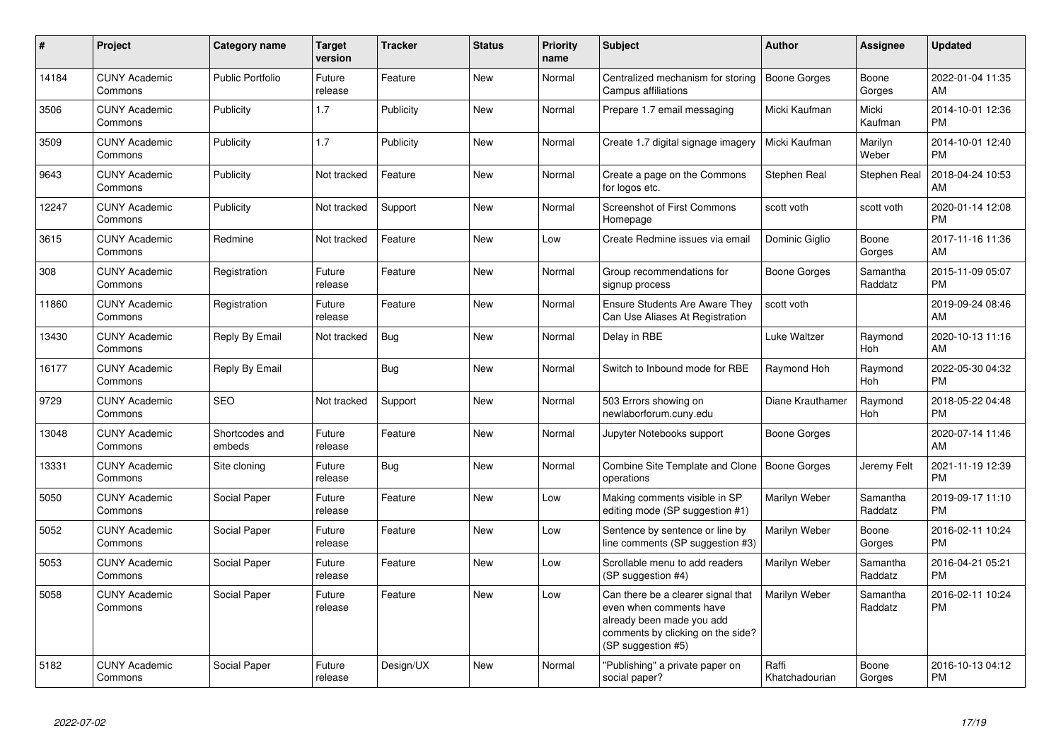| $\pmb{\#}$ | Project                         | <b>Category name</b>     | <b>Target</b><br>version | <b>Tracker</b> | <b>Status</b> | <b>Priority</b><br>name | <b>Subject</b>                                                                                                                                        | <b>Author</b>           | <b>Assignee</b>     | <b>Updated</b>                |
|------------|---------------------------------|--------------------------|--------------------------|----------------|---------------|-------------------------|-------------------------------------------------------------------------------------------------------------------------------------------------------|-------------------------|---------------------|-------------------------------|
| 14184      | <b>CUNY Academic</b><br>Commons | <b>Public Portfolio</b>  | Future<br>release        | Feature        | <b>New</b>    | Normal                  | Centralized mechanism for storing<br>Campus affiliations                                                                                              | <b>Boone Gorges</b>     | Boone<br>Gorges     | 2022-01-04 11:35<br>AM        |
| 3506       | <b>CUNY Academic</b><br>Commons | Publicity                | 1.7                      | Publicity      | <b>New</b>    | Normal                  | Prepare 1.7 email messaging                                                                                                                           | Micki Kaufman           | Micki<br>Kaufman    | 2014-10-01 12:36<br><b>PM</b> |
| 3509       | <b>CUNY Academic</b><br>Commons | Publicity                | 1.7                      | Publicity      | New           | Normal                  | Create 1.7 digital signage imagery                                                                                                                    | Micki Kaufman           | Marilyn<br>Weber    | 2014-10-01 12:40<br><b>PM</b> |
| 9643       | <b>CUNY Academic</b><br>Commons | Publicity                | Not tracked              | Feature        | New           | Normal                  | Create a page on the Commons<br>for logos etc.                                                                                                        | Stephen Real            | Stephen Real        | 2018-04-24 10:53<br>AM        |
| 12247      | <b>CUNY Academic</b><br>Commons | Publicity                | Not tracked              | Support        | New           | Normal                  | <b>Screenshot of First Commons</b><br>Homepage                                                                                                        | scott voth              | scott voth          | 2020-01-14 12:08<br><b>PM</b> |
| 3615       | <b>CUNY Academic</b><br>Commons | Redmine                  | Not tracked              | Feature        | New           | Low                     | Create Redmine issues via email                                                                                                                       | Dominic Giglio          | Boone<br>Gorges     | 2017-11-16 11:36<br>AM        |
| 308        | <b>CUNY Academic</b><br>Commons | Registration             | Future<br>release        | Feature        | New           | Normal                  | Group recommendations for<br>signup process                                                                                                           | Boone Gorges            | Samantha<br>Raddatz | 2015-11-09 05:07<br><b>PM</b> |
| 11860      | <b>CUNY Academic</b><br>Commons | Registration             | Future<br>release        | Feature        | <b>New</b>    | Normal                  | <b>Ensure Students Are Aware They</b><br>Can Use Aliases At Registration                                                                              | scott voth              |                     | 2019-09-24 08:46<br>AM        |
| 13430      | <b>CUNY Academic</b><br>Commons | Reply By Email           | Not tracked              | Bug            | <b>New</b>    | Normal                  | Delay in RBE                                                                                                                                          | Luke Waltzer            | Raymond<br>Hoh      | 2020-10-13 11:16<br>AM        |
| 16177      | <b>CUNY Academic</b><br>Commons | Reply By Email           |                          | Bug            | <b>New</b>    | Normal                  | Switch to Inbound mode for RBE                                                                                                                        | Raymond Hoh             | Raymond<br>Hoh      | 2022-05-30 04:32<br><b>PM</b> |
| 9729       | <b>CUNY Academic</b><br>Commons | <b>SEO</b>               | Not tracked              | Support        | New           | Normal                  | 503 Errors showing on<br>newlaborforum.cuny.edu                                                                                                       | Diane Krauthamer        | Raymond<br>Hoh      | 2018-05-22 04:48<br><b>PM</b> |
| 13048      | <b>CUNY Academic</b><br>Commons | Shortcodes and<br>embeds | Future<br>release        | Feature        | New           | Normal                  | Jupyter Notebooks support                                                                                                                             | Boone Gorges            |                     | 2020-07-14 11:46<br>AM        |
| 13331      | <b>CUNY Academic</b><br>Commons | Site cloning             | Future<br>release        | Bug            | New           | Normal                  | Combine Site Template and Clone<br>operations                                                                                                         | Boone Gorges            | Jeremy Felt         | 2021-11-19 12:39<br><b>PM</b> |
| 5050       | <b>CUNY Academic</b><br>Commons | Social Paper             | Future<br>release        | Feature        | New           | Low                     | Making comments visible in SP<br>editing mode (SP suggestion #1)                                                                                      | Marilyn Weber           | Samantha<br>Raddatz | 2019-09-17 11:10<br><b>PM</b> |
| 5052       | <b>CUNY Academic</b><br>Commons | Social Paper             | Future<br>release        | Feature        | <b>New</b>    | Low                     | Sentence by sentence or line by<br>line comments (SP suggestion #3)                                                                                   | Marilyn Weber           | Boone<br>Gorges     | 2016-02-11 10:24<br><b>PM</b> |
| 5053       | <b>CUNY Academic</b><br>Commons | Social Paper             | Future<br>release        | Feature        | <b>New</b>    | Low                     | Scrollable menu to add readers<br>(SP suggestion #4)                                                                                                  | Marilyn Weber           | Samantha<br>Raddatz | 2016-04-21 05:21<br><b>PM</b> |
| 5058       | <b>CUNY Academic</b><br>Commons | Social Paper             | Future<br>release        | Feature        | <b>New</b>    | Low                     | Can there be a clearer signal that<br>even when comments have<br>already been made you add<br>comments by clicking on the side?<br>(SP suggestion #5) | Marilyn Weber           | Samantha<br>Raddatz | 2016-02-11 10:24<br><b>PM</b> |
| 5182       | <b>CUNY Academic</b><br>Commons | Social Paper             | Future<br>release        | Design/UX      | <b>New</b>    | Normal                  | "Publishing" a private paper on<br>social paper?                                                                                                      | Raffi<br>Khatchadourian | Boone<br>Gorges     | 2016-10-13 04:12<br><b>PM</b> |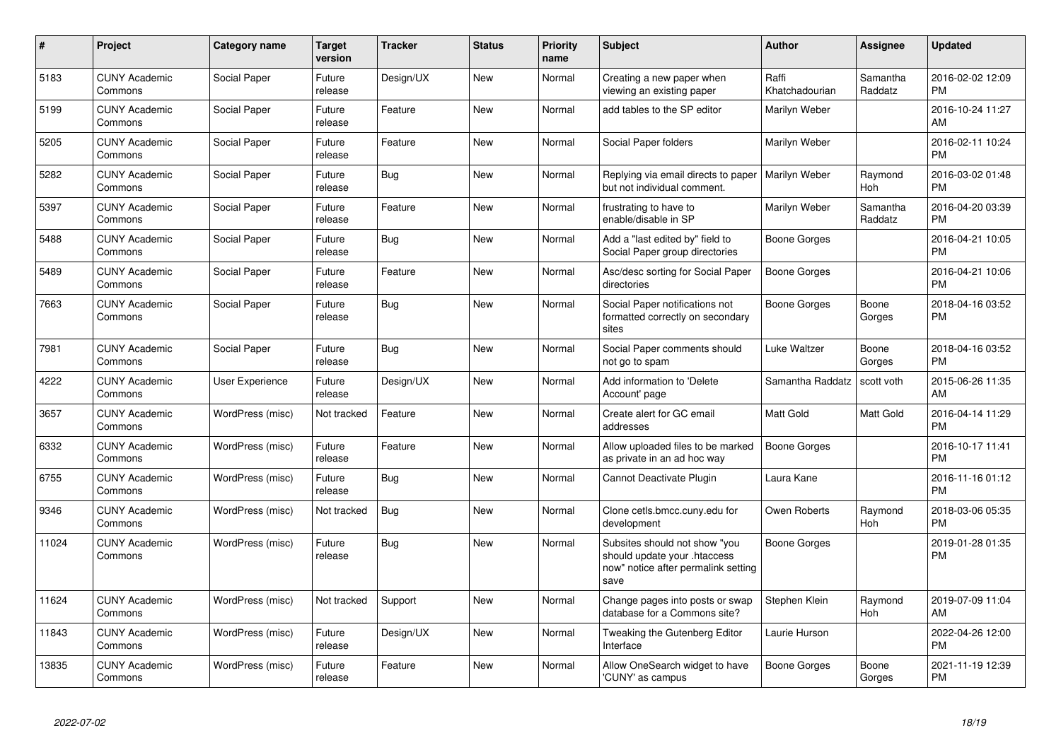| $\pmb{\sharp}$ | Project                         | <b>Category name</b> | Target<br>version | <b>Tracker</b> | <b>Status</b> | <b>Priority</b><br>name | <b>Subject</b>                                                                                               | <b>Author</b>           | <b>Assignee</b>     | <b>Updated</b>                |
|----------------|---------------------------------|----------------------|-------------------|----------------|---------------|-------------------------|--------------------------------------------------------------------------------------------------------------|-------------------------|---------------------|-------------------------------|
| 5183           | <b>CUNY Academic</b><br>Commons | Social Paper         | Future<br>release | Design/UX      | <b>New</b>    | Normal                  | Creating a new paper when<br>viewing an existing paper                                                       | Raffi<br>Khatchadourian | Samantha<br>Raddatz | 2016-02-02 12:09<br><b>PM</b> |
| 5199           | <b>CUNY Academic</b><br>Commons | Social Paper         | Future<br>release | Feature        | <b>New</b>    | Normal                  | add tables to the SP editor                                                                                  | Marilyn Weber           |                     | 2016-10-24 11:27<br>AM        |
| 5205           | <b>CUNY Academic</b><br>Commons | Social Paper         | Future<br>release | Feature        | New           | Normal                  | Social Paper folders                                                                                         | Marilyn Weber           |                     | 2016-02-11 10:24<br><b>PM</b> |
| 5282           | <b>CUNY Academic</b><br>Commons | Social Paper         | Future<br>release | Bug            | New           | Normal                  | Replying via email directs to paper<br>but not individual comment.                                           | Marilyn Weber           | Raymond<br>Hoh      | 2016-03-02 01:48<br><b>PM</b> |
| 5397           | <b>CUNY Academic</b><br>Commons | Social Paper         | Future<br>release | Feature        | New           | Normal                  | frustrating to have to<br>enable/disable in SP                                                               | Marilyn Weber           | Samantha<br>Raddatz | 2016-04-20 03:39<br><b>PM</b> |
| 5488           | <b>CUNY Academic</b><br>Commons | Social Paper         | Future<br>release | Bug            | New           | Normal                  | Add a "last edited by" field to<br>Social Paper group directories                                            | Boone Gorges            |                     | 2016-04-21 10:05<br><b>PM</b> |
| 5489           | <b>CUNY Academic</b><br>Commons | Social Paper         | Future<br>release | Feature        | <b>New</b>    | Normal                  | Asc/desc sorting for Social Paper<br>directories                                                             | Boone Gorges            |                     | 2016-04-21 10:06<br><b>PM</b> |
| 7663           | <b>CUNY Academic</b><br>Commons | Social Paper         | Future<br>release | Bug            | <b>New</b>    | Normal                  | Social Paper notifications not<br>formatted correctly on secondary<br>sites                                  | Boone Gorges            | Boone<br>Gorges     | 2018-04-16 03:52<br>PM        |
| 7981           | <b>CUNY Academic</b><br>Commons | Social Paper         | Future<br>release | Bug            | New           | Normal                  | Social Paper comments should<br>not go to spam                                                               | Luke Waltzer            | Boone<br>Gorges     | 2018-04-16 03:52<br><b>PM</b> |
| 4222           | <b>CUNY Academic</b><br>Commons | User Experience      | Future<br>release | Design/UX      | New           | Normal                  | Add information to 'Delete<br>Account' page                                                                  | Samantha Raddatz        | scott voth          | 2015-06-26 11:35<br><b>AM</b> |
| 3657           | <b>CUNY Academic</b><br>Commons | WordPress (misc)     | Not tracked       | Feature        | New           | Normal                  | Create alert for GC email<br>addresses                                                                       | Matt Gold               | Matt Gold           | 2016-04-14 11:29<br><b>PM</b> |
| 6332           | <b>CUNY Academic</b><br>Commons | WordPress (misc)     | Future<br>release | Feature        | New           | Normal                  | Allow uploaded files to be marked<br>as private in an ad hoc way                                             | Boone Gorges            |                     | 2016-10-17 11:41<br><b>PM</b> |
| 6755           | <b>CUNY Academic</b><br>Commons | WordPress (misc)     | Future<br>release | Bug            | <b>New</b>    | Normal                  | Cannot Deactivate Plugin                                                                                     | Laura Kane              |                     | 2016-11-16 01:12<br><b>PM</b> |
| 9346           | <b>CUNY Academic</b><br>Commons | WordPress (misc)     | Not tracked       | Bug            | <b>New</b>    | Normal                  | Clone cetls.bmcc.cuny.edu for<br>development                                                                 | Owen Roberts            | Raymond<br>Hoh      | 2018-03-06 05:35<br>PM        |
| 11024          | <b>CUNY Academic</b><br>Commons | WordPress (misc)     | Future<br>release | Bug            | <b>New</b>    | Normal                  | Subsites should not show "you<br>should update your .htaccess<br>now" notice after permalink setting<br>save | Boone Gorges            |                     | 2019-01-28 01:35<br>PM        |
| 11624          | <b>CUNY Academic</b><br>Commons | WordPress (misc)     | Not tracked       | Support        | New           | Normal                  | Change pages into posts or swap<br>database for a Commons site?                                              | Stephen Klein           | Raymond<br>Hoh      | 2019-07-09 11:04<br>AM        |
| 11843          | <b>CUNY Academic</b><br>Commons | WordPress (misc)     | Future<br>release | Design/UX      | <b>New</b>    | Normal                  | Tweaking the Gutenberg Editor<br>Interface                                                                   | Laurie Hurson           |                     | 2022-04-26 12:00<br><b>PM</b> |
| 13835          | <b>CUNY Academic</b><br>Commons | WordPress (misc)     | Future<br>release | Feature        | <b>New</b>    | Normal                  | Allow OneSearch widget to have<br>'CUNY' as campus                                                           | Boone Gorges            | Boone<br>Gorges     | 2021-11-19 12:39<br><b>PM</b> |